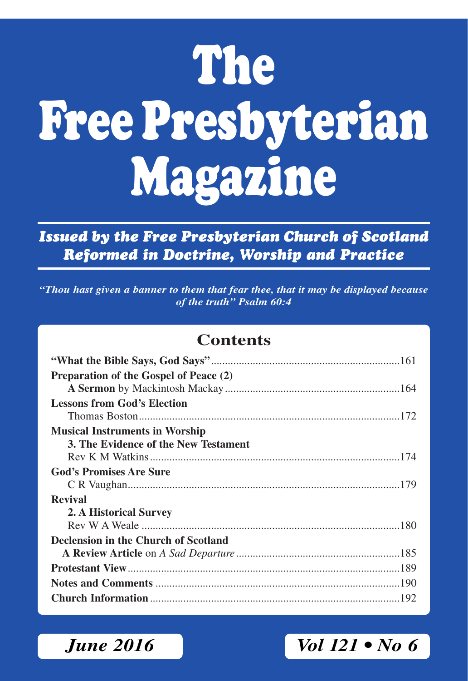# **The Free Presbyterian Magazine**

## *Issued by the Free Presbyterian Church of Scotland Reformed in Doctrine, Worship and Practice*

*"Thou hast given a banner to them that fear thee, that it may be displayed because of the truth" Psalm 60:4*

### **Contents**

| Preparation of the Gospel of Peace (2) |  |
|----------------------------------------|--|
| <b>Lessons from God's Election</b>     |  |
|                                        |  |
| <b>Musical Instruments in Worship</b>  |  |
| 3. The Evidence of the New Testament   |  |
|                                        |  |
| <b>God's Promises Are Sure</b>         |  |
|                                        |  |
| <b>Revival</b>                         |  |
| 2. A Historical Survey                 |  |
|                                        |  |
| Declension in the Church of Scotland   |  |
|                                        |  |
|                                        |  |
|                                        |  |
|                                        |  |

# *June 2016* Vol 121 • No 6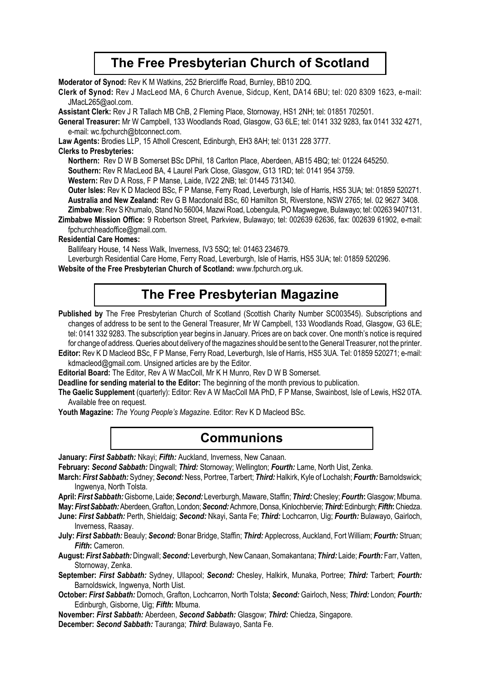### **The Free Presbyterian Church of Scotland**

**Moderator of Synod:** Rev K M Watkins, 252 Briercliffe Road, Burnley, BB10 2DQ.

**Clerk of Synod:** Rev J MacLeod MA, 6 Church Avenue, Sidcup, Kent, DA14 6BU; tel: 020 8309 1623, e-mail: JMacL265@aol.com.

**Assistant Clerk:** Rev J R Tallach MB ChB, 2 Fleming Place, Stornoway, HS1 2NH; tel: 01851 702501.

**General Treasurer:** Mr W Campbell, 133 Woodlands Road, Glasgow, G3 6LE; tel: 0141 332 9283, fax 0141 332 4271, e-mail: wc.fpchurch@btconnect.com.

**Law Agents:** Brodies LLP, 15 Atholl Crescent, Edinburgh, EH3 8AH; tel: 0131 228 3777.

### **Clerks to Presbyteries:**

**Northern:** Rev D W B Somerset BSc DPhil, 18 Carlton Place, Aberdeen, AB15 4BQ; tel: 01224 645250.

**Southern:** Rev R MacLeod BA, 4 Laurel Park Close, Glasgow, G13 1RD; tel: 0141 954 3759.

**Western:** Rev D A Ross, F P Manse, Laide, IV22 2NB; tel: 01445 731340.

**Outer lsles:** Rev K D Macleod BSc, F P Manse, Ferry Road, Leverburgh, Isle of Harris, HS5 3UA; tel: 01859 520271. **Australia and New Zealand:** Rev G B Macdonald BSc, 60 Hamilton St, Riverstone, NSW 2765; tel. 02 9627 3408. **Zimbabwe**: Rev S Khumalo, Stand No 56004, Mazwi Road, Lobengula, PO Magwegwe, Bulawayo; tel: 00263 9407131.

**Zimbabwe Mission Office:** 9 Robertson Street, Parkview, Bulawayo; tel: 002639 62636, fax: 002639 61902, e-mail: fpchurchheadoffice@gmail.com.

### **Residential Care Homes:**

Ballifeary House, 14 Ness Walk, Inverness, IV3 5SQ; tel: 01463 234679.

Leverburgh Residential Care Home, Ferry Road, Leverburgh, Isle of Harris, HS5 3UA; tel: 01859 520296.

**Website of the Free Presbyterian Church of Scotland:** www.fpchurch.org.uk.

### **The Free Presbyterian Magazine**

Published by The Free Presbyterian Church of Scotland (Scottish Charity Number SC003545). Subscriptions and changes of address to be sent to the General Treasurer, Mr W Campbell, 133 Woodlands Road, Glasgow, G3 6LE; tel: 0141 332 9283. The subscription year begins in January. Prices are on back cover. One month's notice is required for change of address. Queries about delivery of the magazines should be sent to the General Treasurer, not the printer.

**Editor:** Rev K D Macleod BSc, F P Manse, Ferry Road, Leverburgh, Isle of Harris, HS5 3UA. Tel: 01859 520271; e-mail: kdmacleod@gmail.com. Unsigned articles are by the Editor.

**Editorial Board:** The Editor, Rev A W MacColl, Mr K H Munro, Rev D W B Somerset.

**Deadline for sending material to the Editor:** The beginning of the month previous to publication.

**The Gaelic Supplement** (quarterly): Editor: Rev A W MacColl MA PhD, F P Manse, Swainbost, Isle of Lewis, HS2 0TA. Available free on request.

**Youth Magazine:** *The Young People's Magazine*. Editor: Rev K D Macleod BSc.

### **Communions**

**January:** *First Sabbath:* Nkayi; *Fifth:* Auckland, Inverness, New Canaan.

**February:** *Second Sabbath:* Dingwall; *Third:* Stornoway; Wellington; *Fourth:* Larne, North Uist, Zenka.

- **March:** *First Sabbath:* Sydney; *Second:* Ness, Portree, Tarbert; *Third:* Halkirk, Kyle of Lochalsh; *Fourth:* Barnoldswick; Ingwenya, North Tolsta.
- **April:** *First Sabbath:* Gisborne, Laide; *Second:* Leverburgh, Maware, Staffin; *Third:* Chesley; *Fourth***:** Glasgow; Mbuma. **May:** *First Sabbath:* Aberdeen, Grafton, London; *Second:* Achmore, Donsa, Kinlochbervie; *Third:* Edinburgh; *Fifth***:** Chiedza.
- **June:** *First Sabbath:* Perth, Shieldaig; *Second:* Nkayi, Santa Fe; *Third:* Lochcarron, Uig; *Fourth:* Bulawayo, Gairloch, Inverness, Raasay.
- **July:** *First Sabbath:* Beauly; *Second:* Bonar Bridge, Staffin; *Third:* Applecross, Auckland, Fort William; *Fourth:* Struan; *Fifth***:** Cameron.
- **August:** *First Sabbath:* Dingwall; *Second:* Leverburgh, New Canaan, Somakantana; *Third:* Laide; *Fourth:* Farr, Vatten, Stornoway, Zenka.

**September:** *First Sabbath:* Sydney, Ullapool; *Second:* Chesley, Halkirk, Munaka, Portree; *Third:* Tarbert; *Fourth:* Barnoldswick, Ingwenya, North Uist.

**October:** *First Sabbath:* Dornoch, Grafton, Lochcarron, North Tolsta; *Second:* Gairloch, Ness; *Third:* London; *Fourth:* Edinburgh, Gisborne, Uig; *Fifth***:** Mbuma.

**November:** *First Sabbath:* Aberdeen, *Second Sabbath:* Glasgow; *Third:* Chiedza, Singapore.

**December:** *Second Sabbath:* Tauranga; *Third*: Bulawayo, Santa Fe.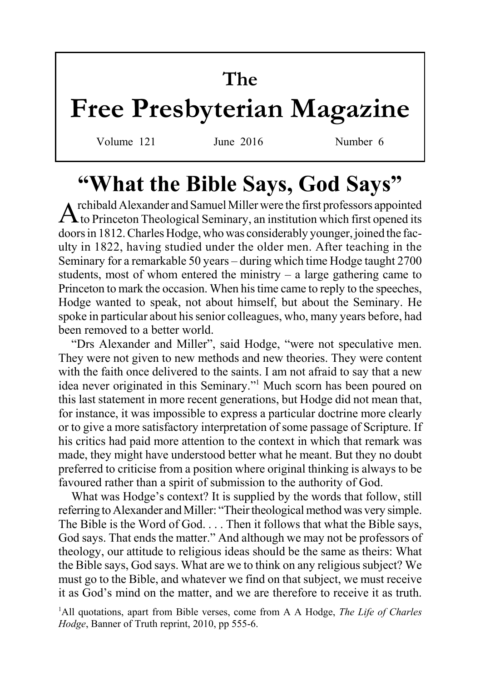# **The Free Presbyterian Magazine**

Volume 121 June 2016 Number 6

# **"What the Bible Says, God Says"**

 $A$ rchibald Alexander and Samuel Miller were the first professors appointed to Princeton Theological Seminary, an institution which first opened its doors in 1812. Charles Hodge, who was considerably younger, joined the faculty in 1822, having studied under the older men. After teaching in the Seminary for a remarkable 50 years – during which time Hodge taught 2700 students, most of whom entered the ministry  $-$  a large gathering came to Princeton to mark the occasion. When his time came to reply to the speeches, Hodge wanted to speak, not about himself, but about the Seminary. He spoke in particular about his senior colleagues, who, many years before, had been removed to a better world.

"Drs Alexander and Miller", said Hodge, "were not speculative men. They were not given to new methods and new theories. They were content with the faith once delivered to the saints. I am not afraid to say that a new idea never originated in this Seminary."<sup>1</sup> Much scorn has been poured on this last statement in more recent generations, but Hodge did not mean that, for instance, it was impossible to express a particular doctrine more clearly or to give a more satisfactory interpretation of some passage of Scripture. If his critics had paid more attention to the context in which that remark was made, they might have understood better what he meant. But they no doubt preferred to criticise from a position where original thinking is always to be favoured rather than a spirit of submission to the authority of God.

What was Hodge's context? It is supplied by the words that follow, still referring to Alexander and Miller: "Their theological method was very simple. The Bible is the Word of God. . . . Then it follows that what the Bible says, God says. That ends the matter." And although we may not be professors of theology, our attitude to religious ideas should be the same as theirs: What the Bible says, God says. What are we to think on any religious subject? We must go to the Bible, and whatever we find on that subject, we must receive it as God's mind on the matter, and we are therefore to receive it as truth.

<sup>1</sup>All quotations, apart from Bible verses, come from A A Hodge, *The Life of Charles Hodge*, Banner of Truth reprint, 2010, pp 555-6.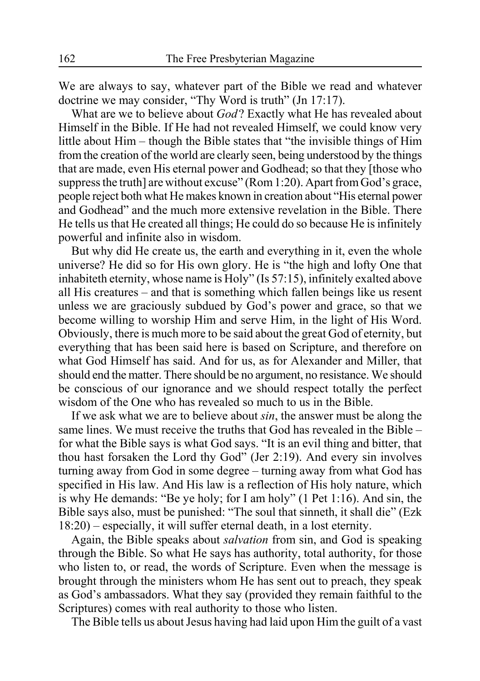We are always to say, whatever part of the Bible we read and whatever doctrine we may consider, "Thy Word is truth" (Jn 17:17).

What are we to believe about *God*? Exactly what He has revealed about Himself in the Bible. If He had not revealed Himself, we could know very little about Him – though the Bible states that "the invisible things of Him from the creation of the world are clearly seen, being understood by the things that are made, even His eternal power and Godhead; so that they [those who suppress the truth are without excuse" (Rom 1:20). Apart from God's grace, people reject both what He makes known in creation about "His eternal power and Godhead" and the much more extensive revelation in the Bible. There He tells us that He created all things; He could do so because He is infinitely powerful and infinite also in wisdom.

But why did He create us, the earth and everything in it, even the whole universe? He did so for His own glory. He is "the high and lofty One that inhabiteth eternity, whose name is Holy" (Is 57:15), infinitely exalted above all His creatures – and that is something which fallen beings like us resent unless we are graciously subdued by God's power and grace, so that we become willing to worship Him and serve Him, in the light of His Word. Obviously, there is much more to be said about the great God of eternity, but everything that has been said here is based on Scripture, and therefore on what God Himself has said. And for us, as for Alexander and Miller, that should end the matter. There should be no argument, no resistance. We should be conscious of our ignorance and we should respect totally the perfect wisdom of the One who has revealed so much to us in the Bible.

If we ask what we are to believe about *sin*, the answer must be along the same lines. We must receive the truths that God has revealed in the Bible – for what the Bible says is what God says. "It is an evil thing and bitter, that thou hast forsaken the Lord thy God" (Jer 2:19). And every sin involves turning away from God in some degree – turning away from what God has specified in His law. And His law is a reflection of His holy nature, which is why He demands: "Be ye holy; for I am holy" (1 Pet 1:16). And sin, the Bible says also, must be punished: "The soul that sinneth, it shall die" (Ezk 18:20) – especially, it will suffer eternal death, in a lost eternity.

Again, the Bible speaks about *salvation* from sin, and God is speaking through the Bible. So what He says has authority, total authority, for those who listen to, or read, the words of Scripture. Even when the message is brought through the ministers whom He has sent out to preach, they speak as God's ambassadors. What they say (provided they remain faithful to the Scriptures) comes with real authority to those who listen.

The Bible tells us about Jesus having had laid upon Him the guilt of a vast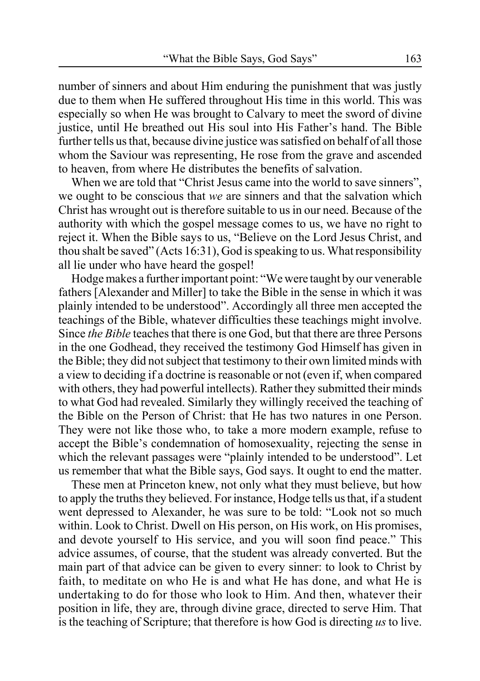number of sinners and about Him enduring the punishment that was justly due to them when He suffered throughout His time in this world. This was especially so when He was brought to Calvary to meet the sword of divine justice, until He breathed out His soul into His Father's hand. The Bible further tells us that, because divine justice was satisfied on behalf of all those whom the Saviour was representing, He rose from the grave and ascended to heaven, from where He distributes the benefits of salvation.

When we are told that "Christ Jesus came into the world to save sinners". we ought to be conscious that *we* are sinners and that the salvation which Christ has wrought out is therefore suitable to us in our need. Because of the authority with which the gospel message comes to us, we have no right to reject it. When the Bible says to us, "Believe on the Lord Jesus Christ, and thou shalt be saved" (Acts 16:31), God is speaking to us. What responsibility all lie under who have heard the gospel!

Hodge makes a further important point: "We were taught by our venerable fathers [Alexander and Miller] to take the Bible in the sense in which it was plainly intended to be understood". Accordingly all three men accepted the teachings of the Bible, whatever difficulties these teachings might involve. Since *the Bible* teaches that there is one God, but that there are three Persons in the one Godhead, they received the testimony God Himself has given in the Bible; they did not subject that testimony to their own limited minds with a view to deciding if a doctrine is reasonable or not (even if, when compared with others, they had powerful intellects). Rather they submitted their minds to what God had revealed. Similarly they willingly received the teaching of the Bible on the Person of Christ: that He has two natures in one Person. They were not like those who, to take a more modern example, refuse to accept the Bible's condemnation of homosexuality, rejecting the sense in which the relevant passages were "plainly intended to be understood". Let us remember that what the Bible says, God says. It ought to end the matter.

These men at Princeton knew, not only what they must believe, but how to apply the truths they believed. For instance, Hodge tells us that, if a student went depressed to Alexander, he was sure to be told: "Look not so much within. Look to Christ. Dwell on His person, on His work, on His promises, and devote yourself to His service, and you will soon find peace." This advice assumes, of course, that the student was already converted. But the main part of that advice can be given to every sinner: to look to Christ by faith, to meditate on who He is and what He has done, and what He is undertaking to do for those who look to Him. And then, whatever their position in life, they are, through divine grace, directed to serve Him. That is the teaching of Scripture; that therefore is how God is directing *us* to live.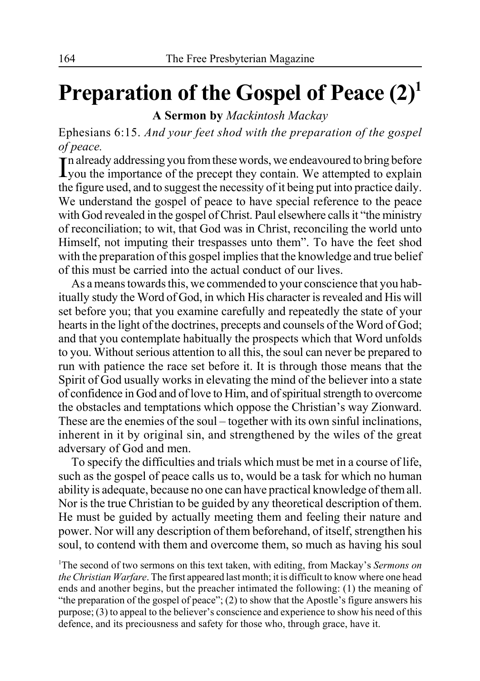# **Preparation of the Gospel of Peace (2)1**

**A Sermon by** *Mackintosh Mackay*

Ephesians 6:15. *And your feet shod with the preparation of the gospel of peace.*

In already addressing you from these words, we endeavoured to bring before<br>Lyou the importance of the precept they contain. We attempted to explain  $\overline{\mathbf{I}}$  n already addressing you from these words, we endeavoured to bring before the figure used, and to suggest the necessity of it being put into practice daily. We understand the gospel of peace to have special reference to the peace with God revealed in the gospel of Christ. Paul elsewhere calls it "the ministry of reconciliation; to wit, that God was in Christ, reconciling the world unto Himself, not imputing their trespasses unto them". To have the feet shod with the preparation of this gospel implies that the knowledge and true belief of this must be carried into the actual conduct of our lives.

As a means towards this, we commended to your conscience that you habitually study the Word of God, in which His character is revealed and His will set before you; that you examine carefully and repeatedly the state of your hearts in the light of the doctrines, precepts and counsels of the Word of God; and that you contemplate habitually the prospects which that Word unfolds to you. Without serious attention to all this, the soul can never be prepared to run with patience the race set before it. It is through those means that the Spirit of God usually works in elevating the mind of the believer into a state of confidence in God and of love to Him, and of spiritual strength to overcome the obstacles and temptations which oppose the Christian's way Zionward. These are the enemies of the soul – together with its own sinful inclinations, inherent in it by original sin, and strengthened by the wiles of the great adversary of God and men.

To specify the difficulties and trials which must be met in a course of life, such as the gospel of peace calls us to, would be a task for which no human ability is adequate, because no one can have practical knowledge of them all. Nor is the true Christian to be guided by any theoretical description of them. He must be guided by actually meeting them and feeling their nature and power. Nor will any description of them beforehand, of itself, strengthen his soul, to contend with them and overcome them, so much as having his soul

1 The second of two sermons on this text taken, with editing, from Mackay's *Sermons on the Christian Warfare*. The first appeared last month; it is difficult to know where one head ends and another begins, but the preacher intimated the following: (1) the meaning of "the preparation of the gospel of peace"; (2) to show that the Apostle's figure answers his purpose; (3) to appeal to the believer's conscience and experience to show his need of this defence, and its preciousness and safety for those who, through grace, have it.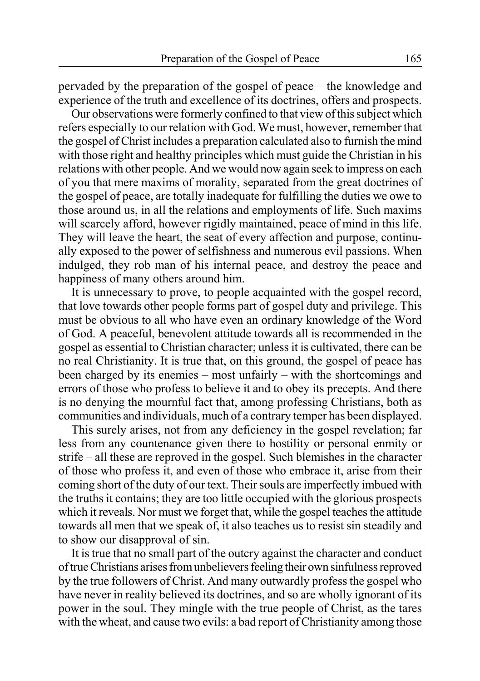pervaded by the preparation of the gospel of peace – the knowledge and experience of the truth and excellence of its doctrines, offers and prospects.

Our observations were formerly confined to that view of this subject which refers especially to our relation with God. We must, however, remember that the gospel of Christ includes a preparation calculated also to furnish the mind with those right and healthy principles which must guide the Christian in his relations with other people. And we would now again seek to impress on each of you that mere maxims of morality, separated from the great doctrines of the gospel of peace, are totally inadequate for fulfilling the duties we owe to those around us, in all the relations and employments of life. Such maxims will scarcely afford, however rigidly maintained, peace of mind in this life. They will leave the heart, the seat of every affection and purpose, continually exposed to the power of selfishness and numerous evil passions. When indulged, they rob man of his internal peace, and destroy the peace and happiness of many others around him.

It is unnecessary to prove, to people acquainted with the gospel record, that love towards other people forms part of gospel duty and privilege. This must be obvious to all who have even an ordinary knowledge of the Word of God. A peaceful, benevolent attitude towards all is recommended in the gospel as essential to Christian character; unless it is cultivated, there can be no real Christianity. It is true that, on this ground, the gospel of peace has been charged by its enemies – most unfairly – with the shortcomings and errors of those who profess to believe it and to obey its precepts. And there is no denying the mournful fact that, among professing Christians, both as communities and individuals, much of a contrary temper has been displayed.

This surely arises, not from any deficiency in the gospel revelation; far less from any countenance given there to hostility or personal enmity or strife – all these are reproved in the gospel. Such blemishes in the character of those who profess it, and even of those who embrace it, arise from their coming short of the duty of our text. Their souls are imperfectly imbued with the truths it contains; they are too little occupied with the glorious prospects which it reveals. Nor must we forget that, while the gospel teaches the attitude towards all men that we speak of, it also teaches us to resist sin steadily and to show our disapproval of sin.

It is true that no small part of the outcry against the character and conduct of true Christians arises from unbelievers feeling their own sinfulness reproved by the true followers of Christ. And many outwardly profess the gospel who have never in reality believed its doctrines, and so are wholly ignorant of its power in the soul. They mingle with the true people of Christ, as the tares with the wheat, and cause two evils: a bad report of Christianity among those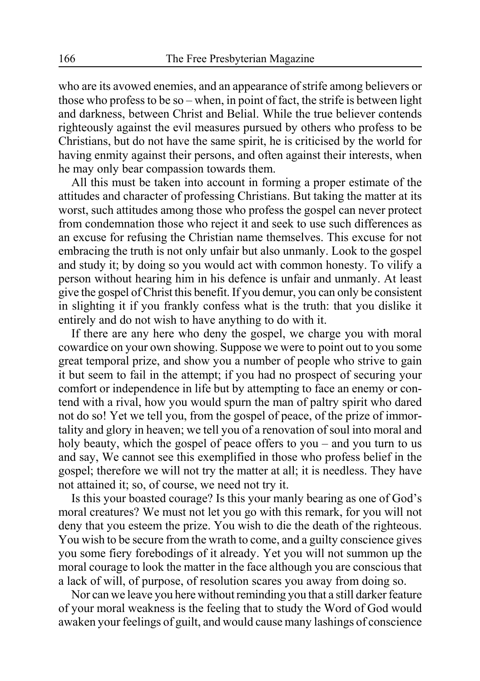who are its avowed enemies, and an appearance of strife among believers or those who profess to be so – when, in point of fact, the strife is between light and darkness, between Christ and Belial. While the true believer contends righteously against the evil measures pursued by others who profess to be Christians, but do not have the same spirit, he is criticised by the world for having enmity against their persons, and often against their interests, when he may only bear compassion towards them.

All this must be taken into account in forming a proper estimate of the attitudes and character of professing Christians. But taking the matter at its worst, such attitudes among those who profess the gospel can never protect from condemnation those who reject it and seek to use such differences as an excuse for refusing the Christian name themselves. This excuse for not embracing the truth is not only unfair but also unmanly. Look to the gospel and study it; by doing so you would act with common honesty. To vilify a person without hearing him in his defence is unfair and unmanly. At least give the gospel of Christ this benefit. If you demur, you can only be consistent in slighting it if you frankly confess what is the truth: that you dislike it entirely and do not wish to have anything to do with it.

If there are any here who deny the gospel, we charge you with moral cowardice on your own showing. Suppose we were to point out to you some great temporal prize, and show you a number of people who strive to gain it but seem to fail in the attempt; if you had no prospect of securing your comfort or independence in life but by attempting to face an enemy or contend with a rival, how you would spurn the man of paltry spirit who dared not do so! Yet we tell you, from the gospel of peace, of the prize of immortality and glory in heaven; we tell you of a renovation of soul into moral and holy beauty, which the gospel of peace offers to you – and you turn to us and say, We cannot see this exemplified in those who profess belief in the gospel; therefore we will not try the matter at all; it is needless. They have not attained it; so, of course, we need not try it.

Is this your boasted courage? Is this your manly bearing as one of God's moral creatures? We must not let you go with this remark, for you will not deny that you esteem the prize. You wish to die the death of the righteous. You wish to be secure from the wrath to come, and a guilty conscience gives you some fiery forebodings of it already. Yet you will not summon up the moral courage to look the matter in the face although you are conscious that a lack of will, of purpose, of resolution scares you away from doing so.

Nor can we leave you here without reminding you that a still darker feature of your moral weakness is the feeling that to study the Word of God would awaken your feelings of guilt, and would cause many lashings of conscience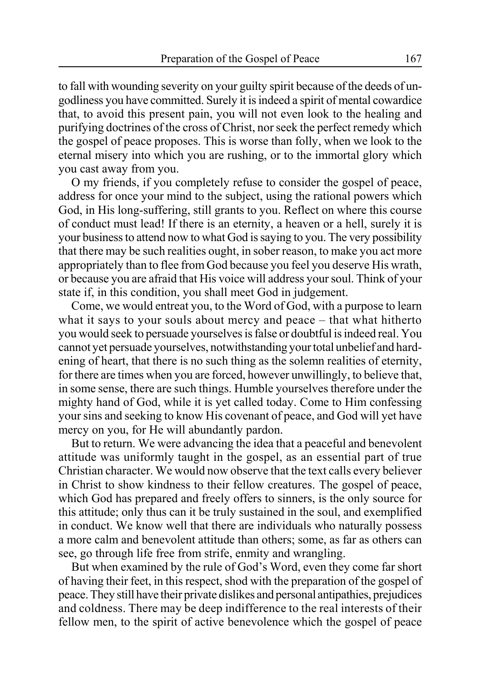to fall with wounding severity on your guilty spirit because of the deeds of ungodliness you have committed. Surely it is indeed a spirit of mental cowardice that, to avoid this present pain, you will not even look to the healing and purifying doctrines of the cross of Christ, nor seek the perfect remedy which the gospel of peace proposes. This is worse than folly, when we look to the eternal misery into which you are rushing, or to the immortal glory which you cast away from you.

O my friends, if you completely refuse to consider the gospel of peace, address for once your mind to the subject, using the rational powers which God, in His long-suffering, still grants to you. Reflect on where this course of conduct must lead! If there is an eternity, a heaven or a hell, surely it is your business to attend now to what God is saying to you. The very possibility that there may be such realities ought, in sober reason, to make you act more appropriately than to flee from God because you feel you deserve His wrath, or because you are afraid that His voice will address your soul. Think of your state if, in this condition, you shall meet God in judgement.

Come, we would entreat you, to the Word of God, with a purpose to learn what it says to your souls about mercy and peace – that what hitherto you would seek to persuade yourselves is false or doubtful is indeed real. You cannot yet persuade yourselves, notwithstanding your total unbelief and hardening of heart, that there is no such thing as the solemn realities of eternity, for there are times when you are forced, however unwillingly, to believe that, in some sense, there are such things. Humble yourselves therefore under the mighty hand of God, while it is yet called today. Come to Him confessing your sins and seeking to know His covenant of peace, and God will yet have mercy on you, for He will abundantly pardon.

But to return. We were advancing the idea that a peaceful and benevolent attitude was uniformly taught in the gospel, as an essential part of true Christian character. We would now observe that the text calls every believer in Christ to show kindness to their fellow creatures. The gospel of peace, which God has prepared and freely offers to sinners, is the only source for this attitude; only thus can it be truly sustained in the soul, and exemplified in conduct. We know well that there are individuals who naturally possess a more calm and benevolent attitude than others; some, as far as others can see, go through life free from strife, enmity and wrangling.

But when examined by the rule of God's Word, even they come far short of having their feet, in this respect, shod with the preparation of the gospel of peace. They still have their private dislikes and personal antipathies, prejudices and coldness. There may be deep indifference to the real interests of their fellow men, to the spirit of active benevolence which the gospel of peace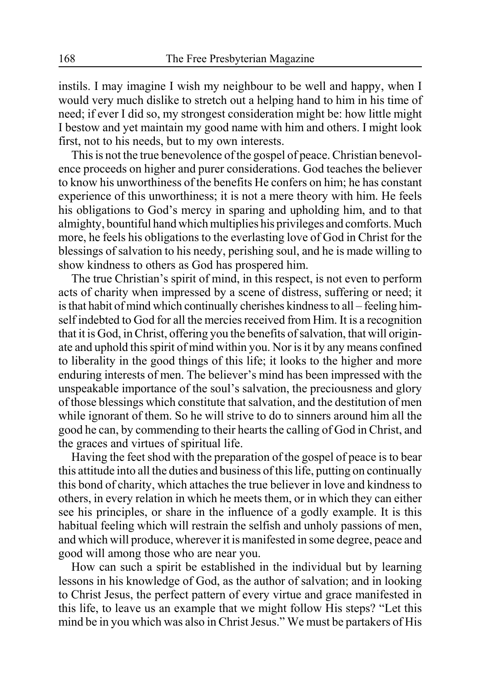instils. I may imagine I wish my neighbour to be well and happy, when I would very much dislike to stretch out a helping hand to him in his time of need; if ever I did so, my strongest consideration might be: how little might I bestow and yet maintain my good name with him and others. I might look first, not to his needs, but to my own interests.

This is not the true benevolence of the gospel of peace. Christian benevolence proceeds on higher and purer considerations. God teaches the believer to know his unworthiness of the benefits He confers on him; he has constant experience of this unworthiness; it is not a mere theory with him. He feels his obligations to God's mercy in sparing and upholding him, and to that almighty, bountiful hand which multiplies his privileges and comforts. Much more, he feels his obligations to the everlasting love of God in Christ for the blessings of salvation to his needy, perishing soul, and he is made willing to show kindness to others as God has prospered him.

The true Christian's spirit of mind, in this respect, is not even to perform acts of charity when impressed by a scene of distress, suffering or need; it is that habit of mind which continually cherishes kindness to all – feeling himself indebted to God for all the mercies received from Him. It is a recognition that it is God, in Christ, offering you the benefits of salvation, that will originate and uphold this spirit of mind within you. Nor is it by any means confined to liberality in the good things of this life; it looks to the higher and more enduring interests of men. The believer's mind has been impressed with the unspeakable importance of the soul's salvation, the preciousness and glory of those blessings which constitute that salvation, and the destitution of men while ignorant of them. So he will strive to do to sinners around him all the good he can, by commending to their hearts the calling of God in Christ, and the graces and virtues of spiritual life.

Having the feet shod with the preparation of the gospel of peace is to bear this attitude into all the duties and business of this life, putting on continually this bond of charity, which attaches the true believer in love and kindness to others, in every relation in which he meets them, or in which they can either see his principles, or share in the influence of a godly example. It is this habitual feeling which will restrain the selfish and unholy passions of men, and which will produce, wherever it is manifested in some degree, peace and good will among those who are near you.

How can such a spirit be established in the individual but by learning lessons in his knowledge of God, as the author of salvation; and in looking to Christ Jesus, the perfect pattern of every virtue and grace manifested in this life, to leave us an example that we might follow His steps? "Let this mind be in you which was also in Christ Jesus." We must be partakers of His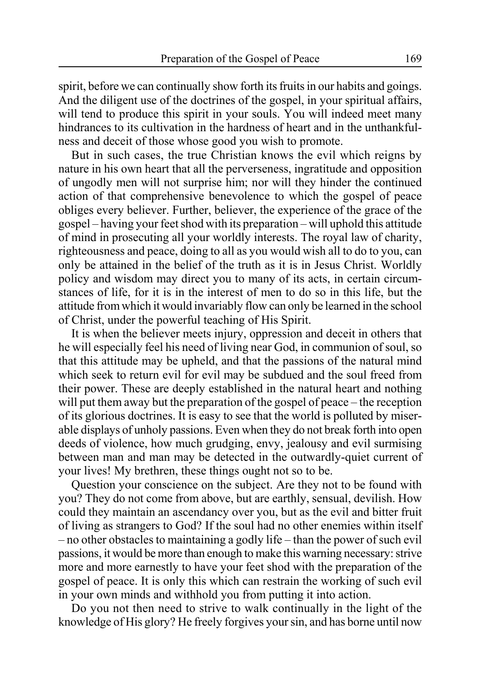spirit, before we can continually show forth its fruits in our habits and goings. And the diligent use of the doctrines of the gospel, in your spiritual affairs, will tend to produce this spirit in your souls. You will indeed meet many hindrances to its cultivation in the hardness of heart and in the unthankfulness and deceit of those whose good you wish to promote.

But in such cases, the true Christian knows the evil which reigns by nature in his own heart that all the perverseness, ingratitude and opposition of ungodly men will not surprise him; nor will they hinder the continued action of that comprehensive benevolence to which the gospel of peace obliges every believer. Further, believer, the experience of the grace of the gospel – having your feet shod with its preparation – will uphold this attitude of mind in prosecuting all your worldly interests. The royal law of charity, righteousness and peace, doing to all as you would wish all to do to you, can only be attained in the belief of the truth as it is in Jesus Christ. Worldly policy and wisdom may direct you to many of its acts, in certain circumstances of life, for it is in the interest of men to do so in this life, but the attitude from which it would invariably flow can only be learned in the school of Christ, under the powerful teaching of His Spirit.

It is when the believer meets injury, oppression and deceit in others that he will especially feel his need of living near God, in communion of soul, so that this attitude may be upheld, and that the passions of the natural mind which seek to return evil for evil may be subdued and the soul freed from their power. These are deeply established in the natural heart and nothing will put them away but the preparation of the gospel of peace – the reception of its glorious doctrines. It is easy to see that the world is polluted by miserable displays of unholy passions. Even when they do not break forth into open deeds of violence, how much grudging, envy, jealousy and evil surmising between man and man may be detected in the outwardly-quiet current of your lives! My brethren, these things ought not so to be.

Question your conscience on the subject. Are they not to be found with you? They do not come from above, but are earthly, sensual, devilish. How could they maintain an ascendancy over you, but as the evil and bitter fruit of living as strangers to God? If the soul had no other enemies within itself – no other obstacles to maintaining a godly life – than the power of such evil passions, it would be more than enough to make this warning necessary: strive more and more earnestly to have your feet shod with the preparation of the gospel of peace. It is only this which can restrain the working of such evil in your own minds and withhold you from putting it into action.

Do you not then need to strive to walk continually in the light of the knowledge of His glory? He freely forgives your sin, and has borne until now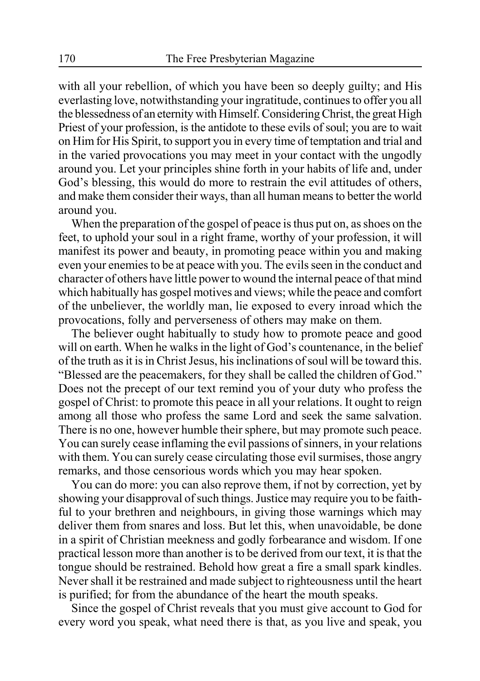with all your rebellion, of which you have been so deeply guilty; and His everlasting love, notwithstanding your ingratitude, continues to offer you all the blessedness of an eternity with Himself. Considering Christ, the great High Priest of your profession, is the antidote to these evils of soul; you are to wait on Him for His Spirit, to support you in every time of temptation and trial and in the varied provocations you may meet in your contact with the ungodly around you. Let your principles shine forth in your habits of life and, under God's blessing, this would do more to restrain the evil attitudes of others, and make them consider their ways, than all human means to better the world around you.

When the preparation of the gospel of peace is thus put on, as shoes on the feet, to uphold your soul in a right frame, worthy of your profession, it will manifest its power and beauty, in promoting peace within you and making even your enemies to be at peace with you. The evils seen in the conduct and character of others have little power to wound the internal peace of that mind which habitually has gospel motives and views; while the peace and comfort of the unbeliever, the worldly man, lie exposed to every inroad which the provocations, folly and perverseness of others may make on them.

The believer ought habitually to study how to promote peace and good will on earth. When he walks in the light of God's countenance, in the belief of the truth as it is in Christ Jesus, his inclinations of soul will be toward this. "Blessed are the peacemakers, for they shall be called the children of God." Does not the precept of our text remind you of your duty who profess the gospel of Christ: to promote this peace in all your relations. It ought to reign among all those who profess the same Lord and seek the same salvation. There is no one, however humble their sphere, but may promote such peace. You can surely cease inflaming the evil passions of sinners, in your relations with them. You can surely cease circulating those evil surmises, those angry remarks, and those censorious words which you may hear spoken.

You can do more: you can also reprove them, if not by correction, yet by showing your disapproval of such things. Justice may require you to be faithful to your brethren and neighbours, in giving those warnings which may deliver them from snares and loss. But let this, when unavoidable, be done in a spirit of Christian meekness and godly forbearance and wisdom. If one practical lesson more than another is to be derived from our text, it is that the tongue should be restrained. Behold how great a fire a small spark kindles. Never shall it be restrained and made subject to righteousness until the heart is purified; for from the abundance of the heart the mouth speaks.

Since the gospel of Christ reveals that you must give account to God for every word you speak, what need there is that, as you live and speak, you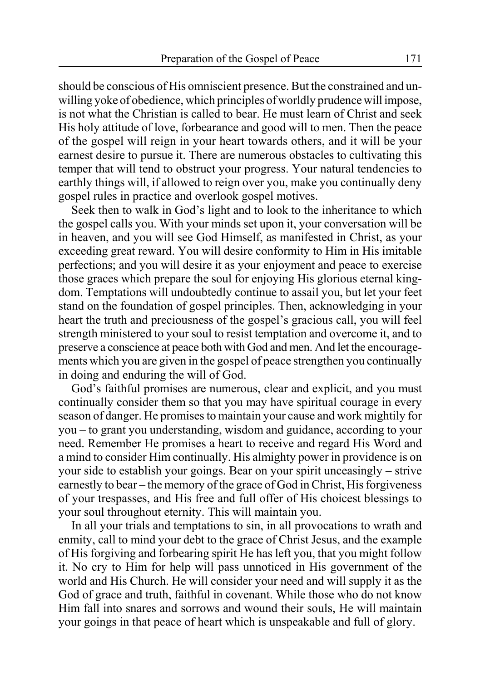should be conscious of His omniscient presence. But the constrained and unwilling yoke of obedience, which principles of worldly prudence will impose, is not what the Christian is called to bear. He must learn of Christ and seek His holy attitude of love, forbearance and good will to men. Then the peace of the gospel will reign in your heart towards others, and it will be your earnest desire to pursue it. There are numerous obstacles to cultivating this temper that will tend to obstruct your progress. Your natural tendencies to earthly things will, if allowed to reign over you, make you continually deny gospel rules in practice and overlook gospel motives.

Seek then to walk in God's light and to look to the inheritance to which the gospel calls you. With your minds set upon it, your conversation will be in heaven, and you will see God Himself, as manifested in Christ, as your exceeding great reward. You will desire conformity to Him in His imitable perfections; and you will desire it as your enjoyment and peace to exercise those graces which prepare the soul for enjoying His glorious eternal kingdom. Temptations will undoubtedly continue to assail you, but let your feet stand on the foundation of gospel principles. Then, acknowledging in your heart the truth and preciousness of the gospel's gracious call, you will feel strength ministered to your soul to resist temptation and overcome it, and to preserve a conscience at peace both with God and men. And let the encouragements which you are given in the gospel of peace strengthen you continually in doing and enduring the will of God.

God's faithful promises are numerous, clear and explicit, and you must continually consider them so that you may have spiritual courage in every season of danger. He promises to maintain your cause and work mightily for you – to grant you understanding, wisdom and guidance, according to your need. Remember He promises a heart to receive and regard His Word and a mind to consider Him continually. His almighty power in providence is on your side to establish your goings. Bear on your spirit unceasingly – strive earnestly to bear – the memory of the grace of God in Christ, His forgiveness of your trespasses, and His free and full offer of His choicest blessings to your soul throughout eternity. This will maintain you.

In all your trials and temptations to sin, in all provocations to wrath and enmity, call to mind your debt to the grace of Christ Jesus, and the example of His forgiving and forbearing spirit He has left you, that you might follow it. No cry to Him for help will pass unnoticed in His government of the world and His Church. He will consider your need and will supply it as the God of grace and truth, faithful in covenant. While those who do not know Him fall into snares and sorrows and wound their souls, He will maintain your goings in that peace of heart which is unspeakable and full of glory.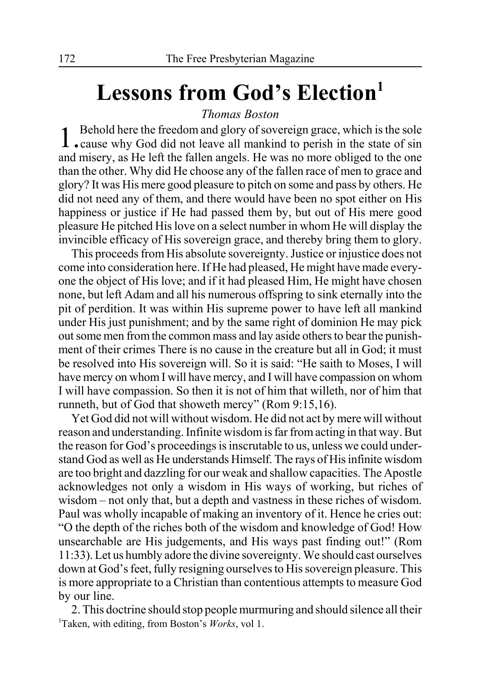# Lessons from God's Election<sup>1</sup>

### *Thomas Boston*

1. Behold here the freedom and glory of sovereign grace, which is the sole . cause why God did not leave all mankind to perish in the state of sin and misery, as He left the fallen angels. He was no more obliged to the one than the other. Why did He choose any of the fallen race of men to grace and glory? It was His mere good pleasure to pitch on some and pass by others. He did not need any of them, and there would have been no spot either on His happiness or justice if He had passed them by, but out of His mere good pleasure He pitched His love on a select number in whom He will display the invincible efficacy of His sovereign grace, and thereby bring them to glory.

This proceeds from His absolute sovereignty. Justice or injustice does not come into consideration here. If He had pleased, He might have made everyone the object of His love; and if it had pleased Him, He might have chosen none, but left Adam and all his numerous offspring to sink eternally into the pit of perdition. It was within His supreme power to have left all mankind under His just punishment; and by the same right of dominion He may pick out some men from the common mass and lay aside others to bear the punishment of their crimes There is no cause in the creature but all in God; it must be resolved into His sovereign will. So it is said: "He saith to Moses, I will have mercy on whom I will have mercy, and I will have compassion on whom I will have compassion. So then it is not of him that willeth, nor of him that runneth, but of God that showeth mercy" (Rom 9:15,16).

Yet God did not will without wisdom. He did not act by mere will without reason and understanding. Infinite wisdom is far from acting in that way. But the reason for God's proceedings is inscrutable to us, unless we could understand God as well as He understands Himself. The rays of His infinite wisdom are too bright and dazzling for our weak and shallow capacities. The Apostle acknowledges not only a wisdom in His ways of working, but riches of wisdom – not only that, but a depth and vastness in these riches of wisdom. Paul was wholly incapable of making an inventory of it. Hence he cries out: "O the depth of the riches both of the wisdom and knowledge of God! How unsearchable are His judgements, and His ways past finding out!" (Rom 11:33). Let us humbly adore the divine sovereignty. We should cast ourselves down at God's feet, fully resigning ourselves to His sovereign pleasure. This is more appropriate to a Christian than contentious attempts to measure God by our line.

2. This doctrine should stop people murmuring and should silence all their 1 Taken, with editing, from Boston's *Works*, vol 1.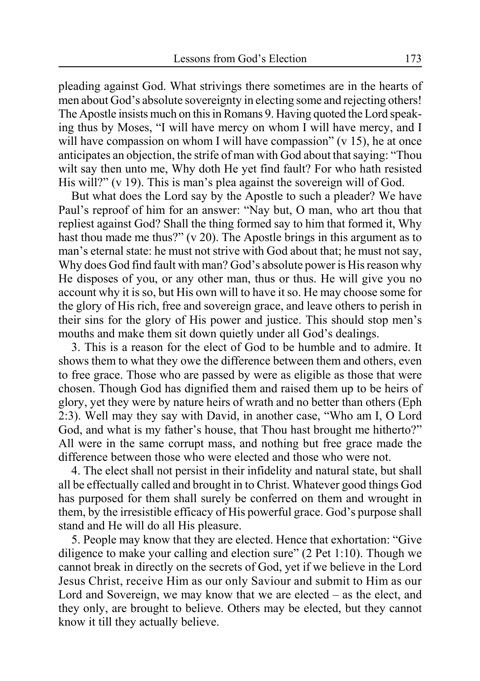pleading against God. What strivings there sometimes are in the hearts of men about God's absolute sovereignty in electing some and rejecting others! The Apostle insists much on this in Romans 9. Having quoted the Lord speaking thus by Moses, "I will have mercy on whom I will have mercy, and I will have compassion on whom I will have compassion"  $(v 15)$ , he at once anticipates an objection, the strife of man with God about that saying: "Thou wilt say then unto me, Why doth He yet find fault? For who hath resisted His will?" (v 19). This is man's plea against the sovereign will of God.

But what does the Lord say by the Apostle to such a pleader? We have Paul's reproof of him for an answer: "Nay but, O man, who art thou that repliest against God? Shall the thing formed say to him that formed it, Why hast thou made me thus?" (v 20). The Apostle brings in this argument as to man's eternal state: he must not strive with God about that; he must not say, Why does God find fault with man? God's absolute power is His reason why He disposes of you, or any other man, thus or thus. He will give you no account why it is so, but His own will to have it so. He may choose some for the glory of His rich, free and sovereign grace, and leave others to perish in their sins for the glory of His power and justice. This should stop men's mouths and make them sit down quietly under all God's dealings.

3. This is a reason for the elect of God to be humble and to admire. It shows them to what they owe the difference between them and others, even to free grace. Those who are passed by were as eligible as those that were chosen. Though God has dignified them and raised them up to be heirs of glory, yet they were by nature heirs of wrath and no better than others (Eph 2:3). Well may they say with David, in another case, "Who am I, O Lord God, and what is my father's house, that Thou hast brought me hitherto?" All were in the same corrupt mass, and nothing but free grace made the difference between those who were elected and those who were not.

4. The elect shall not persist in their infidelity and natural state, but shall all be effectually called and brought in to Christ. Whatever good things God has purposed for them shall surely be conferred on them and wrought in them, by the irresistible efficacy of His powerful grace. God's purpose shall stand and He will do all His pleasure.

5. People may know that they are elected. Hence that exhortation: "Give diligence to make your calling and election sure" (2 Pet 1:10). Though we cannot break in directly on the secrets of God, yet if we believe in the Lord Jesus Christ, receive Him as our only Saviour and submit to Him as our Lord and Sovereign, we may know that we are elected – as the elect, and they only, are brought to believe. Others may be elected, but they cannot know it till they actually believe.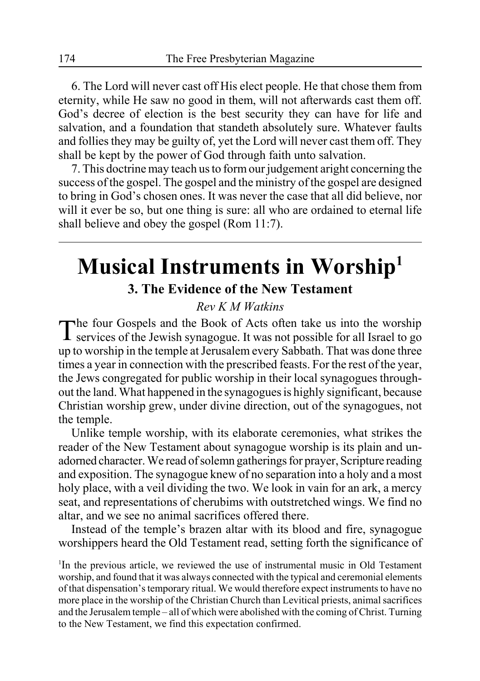6. The Lord will never cast off His elect people. He that chose them from eternity, while He saw no good in them, will not afterwards cast them off. God's decree of election is the best security they can have for life and salvation, and a foundation that standeth absolutely sure. Whatever faults and follies they may be guilty of, yet the Lord will never cast them off. They shall be kept by the power of God through faith unto salvation.

7. This doctrine may teach us to form our judgement aright concerning the success of the gospel. The gospel and the ministry of the gospel are designed to bring in God's chosen ones. It was never the case that all did believe, nor will it ever be so, but one thing is sure: all who are ordained to eternal life shall believe and obey the gospel (Rom 11:7).

# **Musical Instruments in Worship1 3. The Evidence of the New Testament**

### *Rev K M Watkins*

The four Gospels and the Book of Acts often take us into the worship  $\perp$  services of the Jewish synagogue. It was not possible for all Israel to go up to worship in the temple at Jerusalem every Sabbath. That was done three times a year in connection with the prescribed feasts. For the rest of the year, the Jews congregated for public worship in their local synagogues throughout the land. What happened in the synagogues is highly significant, because Christian worship grew, under divine direction, out of the synagogues, not the temple.

Unlike temple worship, with its elaborate ceremonies, what strikes the reader of the New Testament about synagogue worship is its plain and unadorned character. We read of solemn gatherings for prayer, Scripture reading and exposition. The synagogue knew of no separation into a holy and a most holy place, with a veil dividing the two. We look in vain for an ark, a mercy seat, and representations of cherubims with outstretched wings. We find no altar, and we see no animal sacrifices offered there.

Instead of the temple's brazen altar with its blood and fire, synagogue worshippers heard the Old Testament read, setting forth the significance of

<sup>1</sup>In the previous article, we reviewed the use of instrumental music in Old Testament worship, and found that it was always connected with the typical and ceremonial elements of that dispensation's temporary ritual. We would therefore expect instruments to have no more place in the worship of the Christian Church than Levitical priests, animal sacrifices and the Jerusalem temple – all of which were abolished with the coming of Christ. Turning to the New Testament, we find this expectation confirmed.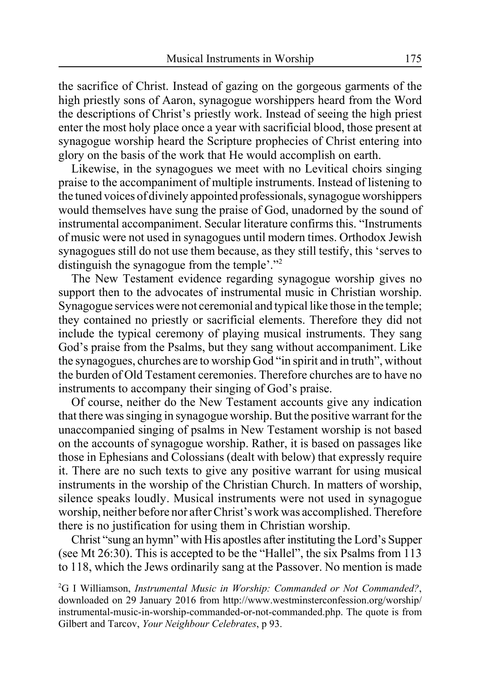the sacrifice of Christ. Instead of gazing on the gorgeous garments of the high priestly sons of Aaron, synagogue worshippers heard from the Word the descriptions of Christ's priestly work. Instead of seeing the high priest enter the most holy place once a year with sacrificial blood, those present at synagogue worship heard the Scripture prophecies of Christ entering into glory on the basis of the work that He would accomplish on earth.

Likewise, in the synagogues we meet with no Levitical choirs singing praise to the accompaniment of multiple instruments. Instead of listening to the tuned voices of divinely appointed professionals, synagogue worshippers would themselves have sung the praise of God, unadorned by the sound of instrumental accompaniment. Secular literature confirms this. "Instruments of music were not used in synagogues until modern times. Orthodox Jewish synagogues still do not use them because, as they still testify, this 'serves to distinguish the synagogue from the temple'."<sup>2</sup>

The New Testament evidence regarding synagogue worship gives no support then to the advocates of instrumental music in Christian worship. Synagogue services were not ceremonial and typical like those in the temple; they contained no priestly or sacrificial elements. Therefore they did not include the typical ceremony of playing musical instruments. They sang God's praise from the Psalms, but they sang without accompaniment. Like the synagogues, churches are to worship God "in spirit and in truth", without the burden of Old Testament ceremonies. Therefore churches are to have no instruments to accompany their singing of God's praise.

Of course, neither do the New Testament accounts give any indication that there was singing in synagogue worship. But the positive warrant for the unaccompanied singing of psalms in New Testament worship is not based on the accounts of synagogue worship. Rather, it is based on passages like those in Ephesians and Colossians (dealt with below) that expressly require it. There are no such texts to give any positive warrant for using musical instruments in the worship of the Christian Church. In matters of worship, silence speaks loudly. Musical instruments were not used in synagogue worship, neither before nor after Christ's work was accomplished. Therefore there is no justification for using them in Christian worship.

Christ "sung an hymn" with His apostles after instituting the Lord's Supper (see Mt 26:30). This is accepted to be the "Hallel", the six Psalms from 113 to 118, which the Jews ordinarily sang at the Passover. No mention is made

2 G I Williamson, *Instrumental Music in Worship: Commanded or Not Commanded?*, downloaded on 29 January 2016 from http://www.westminsterconfession.org/worship/ instrumental-music-in-worship-commanded-or-not-commanded.php. The quote is from Gilbert and Tarcov, *Your Neighbour Celebrates*, p 93.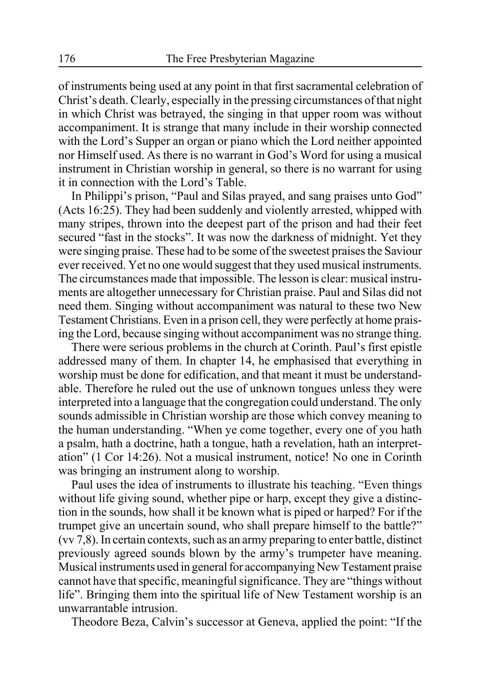of instruments being used at any point in that first sacramental celebration of Christ's death. Clearly, especially in the pressing circumstances of that night in which Christ was betrayed, the singing in that upper room was without accompaniment. It is strange that many include in their worship connected with the Lord's Supper an organ or piano which the Lord neither appointed nor Himself used. As there is no warrant in God's Word for using a musical instrument in Christian worship in general, so there is no warrant for using it in connection with the Lord's Table.

In Philippi's prison, "Paul and Silas prayed, and sang praises unto God" (Acts 16:25). They had been suddenly and violently arrested, whipped with many stripes, thrown into the deepest part of the prison and had their feet secured "fast in the stocks". It was now the darkness of midnight. Yet they were singing praise. These had to be some of the sweetest praises the Saviour ever received. Yet no one would suggest that they used musical instruments. The circumstances made that impossible. The lesson is clear: musical instruments are altogether unnecessary for Christian praise. Paul and Silas did not need them. Singing without accompaniment was natural to these two New Testament Christians. Even in a prison cell, they were perfectly at home praising the Lord, because singing without accompaniment was no strange thing.

There were serious problems in the church at Corinth. Paul's first epistle addressed many of them. In chapter 14, he emphasised that everything in worship must be done for edification, and that meant it must be understandable. Therefore he ruled out the use of unknown tongues unless they were interpreted into a language that the congregation could understand. The only sounds admissible in Christian worship are those which convey meaning to the human understanding. "When ye come together, every one of you hath a psalm, hath a doctrine, hath a tongue, hath a revelation, hath an interpretation" (1 Cor 14:26). Not a musical instrument, notice! No one in Corinth was bringing an instrument along to worship.

Paul uses the idea of instruments to illustrate his teaching. "Even things without life giving sound, whether pipe or harp, except they give a distinction in the sounds, how shall it be known what is piped or harped? For if the trumpet give an uncertain sound, who shall prepare himself to the battle?" (vv 7,8). In certain contexts, such as an army preparing to enter battle, distinct previously agreed sounds blown by the army's trumpeter have meaning. Musical instruments used in general for accompanying New Testament praise cannot have that specific, meaningful significance. They are "things without life". Bringing them into the spiritual life of New Testament worship is an unwarrantable intrusion.

Theodore Beza, Calvin's successor at Geneva, applied the point: "If the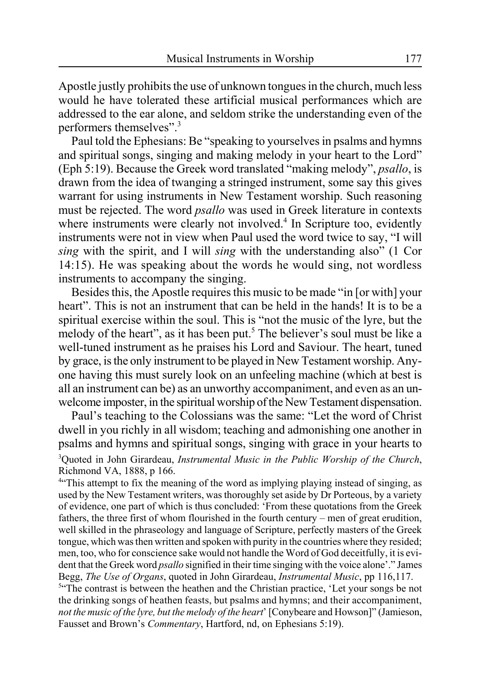Apostle justly prohibits the use of unknown tongues in the church, much less would he have tolerated these artificial musical performances which are addressed to the ear alone, and seldom strike the understanding even of the performers themselves".3

Paul told the Ephesians: Be "speaking to yourselves in psalms and hymns and spiritual songs, singing and making melody in your heart to the Lord" (Eph 5:19). Because the Greek word translated "making melody", *psallo*, is drawn from the idea of twanging a stringed instrument, some say this gives warrant for using instruments in New Testament worship. Such reasoning must be rejected. The word *psallo* was used in Greek literature in contexts where instruments were clearly not involved.<sup>4</sup> In Scripture too, evidently instruments were not in view when Paul used the word twice to say, "I will *sing* with the spirit, and I will *sing* with the understanding also" (1 Cor 14:15). He was speaking about the words he would sing, not wordless instruments to accompany the singing.

Besides this, the Apostle requires this music to be made "in [or with] your heart". This is not an instrument that can be held in the hands! It is to be a spiritual exercise within the soul. This is "not the music of the lyre, but the melody of the heart", as it has been put.<sup>5</sup> The believer's soul must be like a well-tuned instrument as he praises his Lord and Saviour. The heart, tuned by grace, is the only instrument to be played in New Testament worship. Anyone having this must surely look on an unfeeling machine (which at best is all an instrument can be) as an unworthy accompaniment, and even as an unwelcome imposter, in the spiritual worship of the New Testament dispensation.

Paul's teaching to the Colossians was the same: "Let the word of Christ dwell in you richly in all wisdom; teaching and admonishing one another in psalms and hymns and spiritual songs, singing with grace in your hearts to 3 Quoted in John Girardeau, *Instrumental Music in the Public Worship of the Church*, Richmond VA, 1888, p 166.

<sup>4"</sup> This attempt to fix the meaning of the word as implying playing instead of singing, as used by the New Testament writers, was thoroughly set aside by Dr Porteous, by a variety of evidence, one part of which is thus concluded: 'From these quotations from the Greek fathers, the three first of whom flourished in the fourth century – men of great erudition, well skilled in the phraseology and language of Scripture, perfectly masters of the Greek tongue, which was then written and spoken with purity in the countries where they resided; men, too, who for conscience sake would not handle the Word of God deceitfully, it is evident that the Greek word *psallo* signified in their time singing with the voice alone'." James Begg, *The Use of Organs*, quoted in John Girardeau, *Instrumental Music*, pp 116,117.

<sup>54</sup>The contrast is between the heathen and the Christian practice, 'Let your songs be not the drinking songs of heathen feasts, but psalms and hymns; and their accompaniment, *not the music of the lyre, but the melody of the heart*' [Conybeare and Howson]" (Jamieson, Fausset and Brown's *Commentary*, Hartford, nd, on Ephesians 5:19).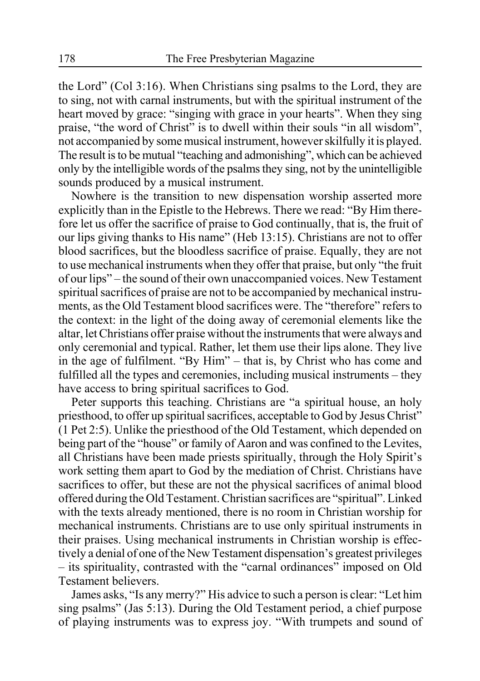the Lord" (Col 3:16). When Christians sing psalms to the Lord, they are to sing, not with carnal instruments, but with the spiritual instrument of the heart moved by grace: "singing with grace in your hearts". When they sing praise, "the word of Christ" is to dwell within their souls "in all wisdom", not accompanied by some musical instrument, however skilfully it is played. The result is to be mutual "teaching and admonishing", which can be achieved only by the intelligible words of the psalms they sing, not by the unintelligible sounds produced by a musical instrument.

Nowhere is the transition to new dispensation worship asserted more explicitly than in the Epistle to the Hebrews. There we read: "By Him therefore let us offer the sacrifice of praise to God continually, that is, the fruit of our lips giving thanks to His name" (Heb 13:15). Christians are not to offer blood sacrifices, but the bloodless sacrifice of praise. Equally, they are not to use mechanical instruments when they offer that praise, but only "the fruit of our lips" – the sound of their own unaccompanied voices. New Testament spiritual sacrifices of praise are not to be accompanied by mechanical instruments, as the Old Testament blood sacrifices were. The "therefore" refers to the context: in the light of the doing away of ceremonial elements like the altar, let Christians offer praise without the instruments that were always and only ceremonial and typical. Rather, let them use their lips alone. They live in the age of fulfilment. "By Him" – that is, by Christ who has come and fulfilled all the types and ceremonies, including musical instruments – they have access to bring spiritual sacrifices to God.

Peter supports this teaching. Christians are "a spiritual house, an holy priesthood, to offer up spiritual sacrifices, acceptable to God by Jesus Christ" (1 Pet 2:5). Unlike the priesthood of the Old Testament, which depended on being part of the "house" or family of Aaron and was confined to the Levites, all Christians have been made priests spiritually, through the Holy Spirit's work setting them apart to God by the mediation of Christ. Christians have sacrifices to offer, but these are not the physical sacrifices of animal blood offered during the Old Testament. Christian sacrifices are "spiritual". Linked with the texts already mentioned, there is no room in Christian worship for mechanical instruments. Christians are to use only spiritual instruments in their praises. Using mechanical instruments in Christian worship is effectively a denial of one of the New Testament dispensation's greatest privileges – its spirituality, contrasted with the "carnal ordinances" imposed on Old Testament believers.

James asks, "Is any merry?" His advice to such a person is clear: "Let him sing psalms" (Jas 5:13). During the Old Testament period, a chief purpose of playing instruments was to express joy. "With trumpets and sound of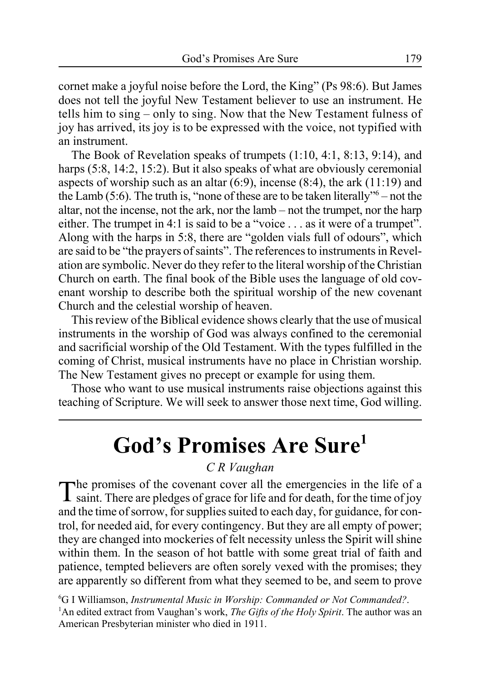cornet make a joyful noise before the Lord, the King" (Ps 98:6). But James does not tell the joyful New Testament believer to use an instrument. He tells him to sing – only to sing. Now that the New Testament fulness of joy has arrived, its joy is to be expressed with the voice, not typified with an instrument.

The Book of Revelation speaks of trumpets (1:10, 4:1, 8:13, 9:14), and harps (5:8, 14:2, 15:2). But it also speaks of what are obviously ceremonial aspects of worship such as an altar  $(6:9)$ , incense  $(8:4)$ , the ark  $(11:19)$  and the Lamb (5:6). The truth is, "none of these are to be taken literally"<sup>6</sup> – not the altar, not the incense, not the ark, nor the lamb – not the trumpet, nor the harp either. The trumpet in 4:1 is said to be a "voice . . . as it were of a trumpet". Along with the harps in 5:8, there are "golden vials full of odours", which are said to be "the prayers of saints". The references to instruments in Revelation are symbolic. Never do they refer to the literal worship of the Christian Church on earth. The final book of the Bible uses the language of old covenant worship to describe both the spiritual worship of the new covenant Church and the celestial worship of heaven.

This review of the Biblical evidence shows clearly that the use of musical instruments in the worship of God was always confined to the ceremonial and sacrificial worship of the Old Testament. With the types fulfilled in the coming of Christ, musical instruments have no place in Christian worship. The New Testament gives no precept or example for using them.

Those who want to use musical instruments raise objections against this teaching of Scripture. We will seek to answer those next time, God willing.

# **God's Promises Are Sure1**

### *C R Vaughan*

The promises of the covenant cover all the emergencies in the life of a saint. There are pledges of grace for life and for death, for the time of joy and the time of sorrow, for supplies suited to each day, for guidance, for control, for needed aid, for every contingency. But they are all empty of power; they are changed into mockeries of felt necessity unless the Spirit will shine within them. In the season of hot battle with some great trial of faith and patience, tempted believers are often sorely vexed with the promises; they are apparently so different from what they seemed to be, and seem to prove

6 G I Williamson, *Instrumental Music in Worship: Commanded or Not Commanded?*. 1 An edited extract from Vaughan's work, *The Gifts of the Holy Spirit*. The author was an American Presbyterian minister who died in 1911.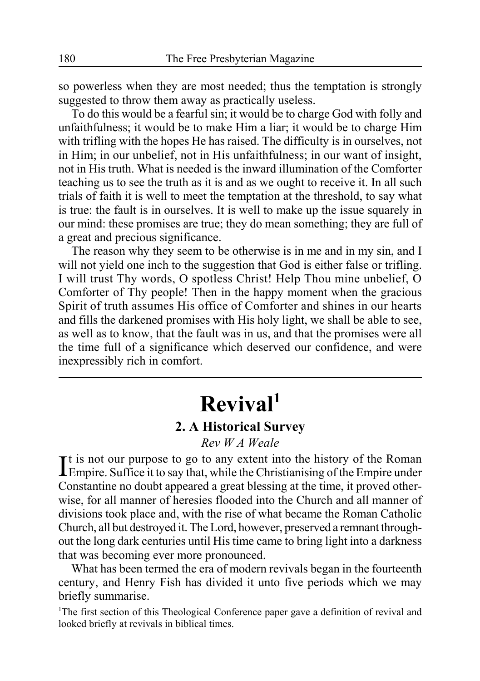so powerless when they are most needed; thus the temptation is strongly suggested to throw them away as practically useless.

To do this would be a fearful sin; it would be to charge God with folly and unfaithfulness; it would be to make Him a liar; it would be to charge Him with trifling with the hopes He has raised. The difficulty is in ourselves, not in Him; in our unbelief, not in His unfaithfulness; in our want of insight, not in His truth. What is needed is the inward illumination of the Comforter teaching us to see the truth as it is and as we ought to receive it. In all such trials of faith it is well to meet the temptation at the threshold, to say what is true: the fault is in ourselves. It is well to make up the issue squarely in our mind: these promises are true; they do mean something; they are full of a great and precious significance.

The reason why they seem to be otherwise is in me and in my sin, and I will not vield one inch to the suggestion that God is either false or trifling. I will trust Thy words, O spotless Christ! Help Thou mine unbelief, O Comforter of Thy people! Then in the happy moment when the gracious Spirit of truth assumes His office of Comforter and shines in our hearts and fills the darkened promises with His holy light, we shall be able to see, as well as to know, that the fault was in us, and that the promises were all the time full of a significance which deserved our confidence, and were inexpressibly rich in comfort.

# **Revival1**

### **2. A Historical Survey**

*Rev W A Weale*

It is not our purpose to go to any extent into the history of the Roman<br>Empire. Suffice it to say that, while the Christianising of the Empire under  $\mathbf{T}$ t is not our purpose to go to any extent into the history of the Roman Constantine no doubt appeared a great blessing at the time, it proved otherwise, for all manner of heresies flooded into the Church and all manner of divisions took place and, with the rise of what became the Roman Catholic Church, all but destroyed it. The Lord, however, preserved a remnant throughout the long dark centuries until His time came to bring light into a darkness that was becoming ever more pronounced.

What has been termed the era of modern revivals began in the fourteenth century, and Henry Fish has divided it unto five periods which we may briefly summarise.

<sup>1</sup>The first section of this Theological Conference paper gave a definition of revival and looked briefly at revivals in biblical times.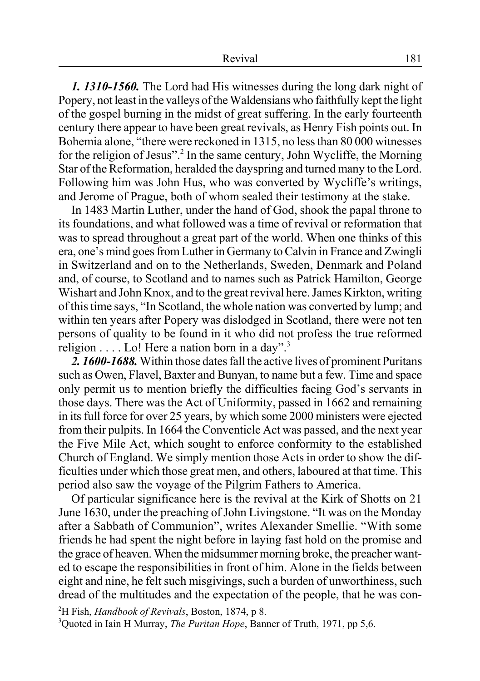*1. 1310-1560.* The Lord had His witnesses during the long dark night of Popery, not least in the valleys of the Waldensians who faithfully kept the light of the gospel burning in the midst of great suffering. In the early fourteenth century there appear to have been great revivals, as Henry Fish points out. In Bohemia alone, "there were reckoned in 1315, no less than 80 000 witnesses for the religion of Jesus".<sup>2</sup> In the same century, John Wycliffe, the Morning Star of the Reformation, heralded the dayspring and turned many to the Lord. Following him was John Hus, who was converted by Wycliffe's writings, and Jerome of Prague, both of whom sealed their testimony at the stake.

In 1483 Martin Luther, under the hand of God, shook the papal throne to its foundations, and what followed was a time of revival or reformation that was to spread throughout a great part of the world. When one thinks of this era, one's mind goes from Luther in Germany to Calvin in France and Zwingli in Switzerland and on to the Netherlands, Sweden, Denmark and Poland and, of course, to Scotland and to names such as Patrick Hamilton, George Wishart and John Knox, and to the great revival here. James Kirkton, writing of this time says, "In Scotland, the whole nation was converted by lump; and within ten years after Popery was dislodged in Scotland, there were not ten persons of quality to be found in it who did not profess the true reformed religion  $\dots$  Lo! Here a nation born in a day".<sup>3</sup>

*2. 1600-1688.* Within those dates fall the active lives of prominent Puritans such as Owen, Flavel, Baxter and Bunyan, to name but a few. Time and space only permit us to mention briefly the difficulties facing God's servants in those days. There was the Act of Uniformity, passed in 1662 and remaining in its full force for over 25 years, by which some 2000 ministers were ejected from their pulpits. In 1664 the Conventicle Act was passed, and the next year the Five Mile Act, which sought to enforce conformity to the established Church of England. We simply mention those Acts in order to show the difficulties under which those great men, and others, laboured at that time. This period also saw the voyage of the Pilgrim Fathers to America.

Of particular significance here is the revival at the Kirk of Shotts on 21 June 1630, under the preaching of John Livingstone. "It was on the Monday after a Sabbath of Communion", writes Alexander Smellie. "With some friends he had spent the night before in laying fast hold on the promise and the grace of heaven. When the midsummer morning broke, the preacher wanted to escape the responsibilities in front of him. Alone in the fields between eight and nine, he felt such misgivings, such a burden of unworthiness, such dread of the multitudes and the expectation of the people, that he was con-

2 H Fish, *Handbook of Revivals*, Boston, 1874, p 8.

3 Quoted in Iain H Murray, *The Puritan Hope*, Banner of Truth, 1971, pp 5,6.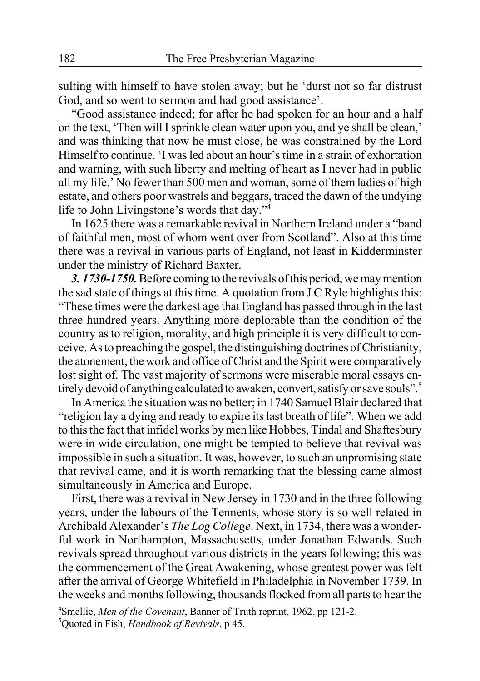sulting with himself to have stolen away; but he 'durst not so far distrust God, and so went to sermon and had good assistance'.

"Good assistance indeed; for after he had spoken for an hour and a half on the text, 'Then will I sprinkle clean water upon you, and ye shall be clean,' and was thinking that now he must close, he was constrained by the Lord Himself to continue. 'I was led about an hour's time in a strain of exhortation and warning, with such liberty and melting of heart as I never had in public all my life.' No fewer than 500 men and woman, some of them ladies of high estate, and others poor wastrels and beggars, traced the dawn of the undying life to John Livingstone's words that day."4

In 1625 there was a remarkable revival in Northern Ireland under a "band of faithful men, most of whom went over from Scotland". Also at this time there was a revival in various parts of England, not least in Kidderminster under the ministry of Richard Baxter.

*3. 1730-1750.* Before coming to the revivals of this period, we may mention the sad state of things at this time. A quotation from J C Ryle highlights this: "These times were the darkest age that England has passed through in the last three hundred years. Anything more deplorable than the condition of the country as to religion, morality, and high principle it is very difficult to conceive. As to preaching the gospel, the distinguishing doctrines of Christianity, the atonement, the work and office of Christ and the Spirit were comparatively lost sight of. The vast majority of sermons were miserable moral essays entirely devoid of anything calculated to awaken, convert, satisfy or save souls".

In America the situation was no better; in 1740 Samuel Blair declared that "religion lay a dying and ready to expire its last breath of life". When we add to this the fact that infidel works by men like Hobbes, Tindal and Shaftesbury were in wide circulation, one might be tempted to believe that revival was impossible in such a situation. It was, however, to such an unpromising state that revival came, and it is worth remarking that the blessing came almost simultaneously in America and Europe.

First, there was a revival in New Jersey in 1730 and in the three following years, under the labours of the Tennents, whose story is so well related in Archibald Alexander's *The Log College*. Next, in 1734, there was a wonderful work in Northampton, Massachusetts, under Jonathan Edwards. Such revivals spread throughout various districts in the years following; this was the commencement of the Great Awakening, whose greatest power was felt after the arrival of George Whitefield in Philadelphia in November 1739. In the weeks and months following, thousands flocked from all parts to hear the

4 Smellie, *Men of the Covenant*, Banner of Truth reprint, 1962, pp 121-2. 5 Quoted in Fish, *Handbook of Revivals*, p 45.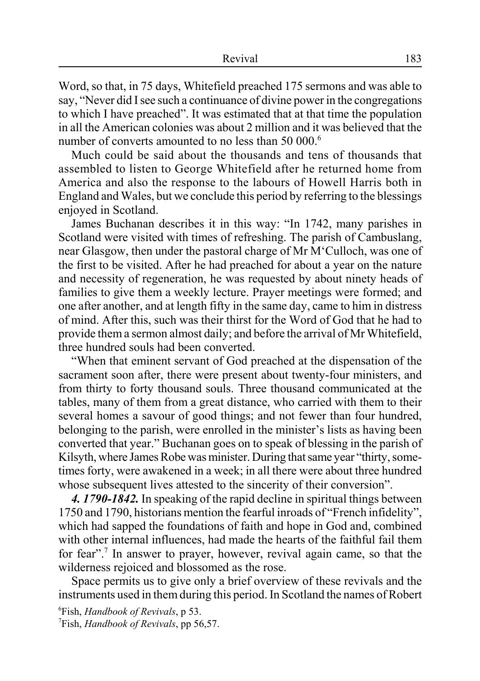Word, so that, in 75 days, Whitefield preached 175 sermons and was able to say, "Never did I see such a continuance of divine power in the congregations to which I have preached". It was estimated that at that time the population in all the American colonies was about 2 million and it was believed that the number of converts amounted to no less than 50 000.<sup>6</sup>

Much could be said about the thousands and tens of thousands that assembled to listen to George Whitefield after he returned home from America and also the response to the labours of Howell Harris both in England and Wales, but we conclude this period by referring to the blessings enjoyed in Scotland.

James Buchanan describes it in this way: "In 1742, many parishes in Scotland were visited with times of refreshing. The parish of Cambuslang, near Glasgow, then under the pastoral charge of Mr M'Culloch, was one of the first to be visited. After he had preached for about a year on the nature and necessity of regeneration, he was requested by about ninety heads of families to give them a weekly lecture. Prayer meetings were formed; and one after another, and at length fifty in the same day, came to him in distress of mind. After this, such was their thirst for the Word of God that he had to provide them a sermon almost daily; and before the arrival of Mr Whitefield, three hundred souls had been converted.

"When that eminent servant of God preached at the dispensation of the sacrament soon after, there were present about twenty-four ministers, and from thirty to forty thousand souls. Three thousand communicated at the tables, many of them from a great distance, who carried with them to their several homes a savour of good things; and not fewer than four hundred, belonging to the parish, were enrolled in the minister's lists as having been converted that year." Buchanan goes on to speak of blessing in the parish of Kilsyth, where James Robe was minister. During that same year "thirty, sometimes forty, were awakened in a week; in all there were about three hundred whose subsequent lives attested to the sincerity of their conversion".

*4. 1790-1842.* In speaking of the rapid decline in spiritual things between 1750 and 1790, historians mention the fearful inroads of "French infidelity", which had sapped the foundations of faith and hope in God and, combined with other internal influences, had made the hearts of the faithful fail them for fear".<sup>7</sup> In answer to prayer, however, revival again came, so that the wilderness rejoiced and blossomed as the rose.

Space permits us to give only a brief overview of these revivals and the instruments used in them during this period. In Scotland the names of Robert

6 Fish, *Handbook of Revivals*, p 53. 7 Fish, *Handbook of Revivals*, pp 56,57.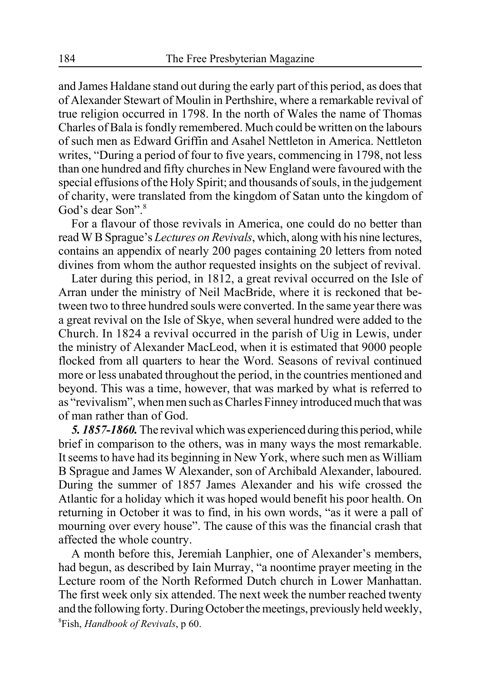and James Haldane stand out during the early part of this period, as does that of Alexander Stewart of Moulin in Perthshire, where a remarkable revival of true religion occurred in 1798. In the north of Wales the name of Thomas Charles of Bala is fondly remembered. Much could be written on the labours of such men as Edward Griffin and Asahel Nettleton in America. Nettleton writes, "During a period of four to five years, commencing in 1798, not less than one hundred and fifty churches in New England were favoured with the special effusions of the Holy Spirit; and thousands of souls, in the judgement of charity, were translated from the kingdom of Satan unto the kingdom of God's dear Son".<sup>8</sup>

For a flavour of those revivals in America, one could do no better than read W B Sprague's *Lectures on Revivals*, which, along with his nine lectures, contains an appendix of nearly 200 pages containing 20 letters from noted divines from whom the author requested insights on the subject of revival.

Later during this period, in 1812, a great revival occurred on the Isle of Arran under the ministry of Neil MacBride, where it is reckoned that between two to three hundred souls were converted. In the same year there was a great revival on the Isle of Skye, when several hundred were added to the Church. In 1824 a revival occurred in the parish of Uig in Lewis, under the ministry of Alexander MacLeod, when it is estimated that 9000 people flocked from all quarters to hear the Word. Seasons of revival continued more or less unabated throughout the period, in the countries mentioned and beyond. This was a time, however, that was marked by what is referred to as "revivalism", when men such as Charles Finney introduced much that was of man rather than of God.

*5. 1857-1860.*The revival which was experienced during this period, while brief in comparison to the others, was in many ways the most remarkable. It seems to have had its beginning in New York, where such men as William B Sprague and James W Alexander, son of Archibald Alexander, laboured. During the summer of 1857 James Alexander and his wife crossed the Atlantic for a holiday which it was hoped would benefit his poor health. On returning in October it was to find, in his own words, "as it were a pall of mourning over every house". The cause of this was the financial crash that affected the whole country.

A month before this, Jeremiah Lanphier, one of Alexander's members, had begun, as described by Iain Murray, "a noontime prayer meeting in the Lecture room of the North Reformed Dutch church in Lower Manhattan. The first week only six attended. The next week the number reached twenty and the following forty. During October the meetings, previously held weekly, 8 Fish, *Handbook of Revivals*, p 60.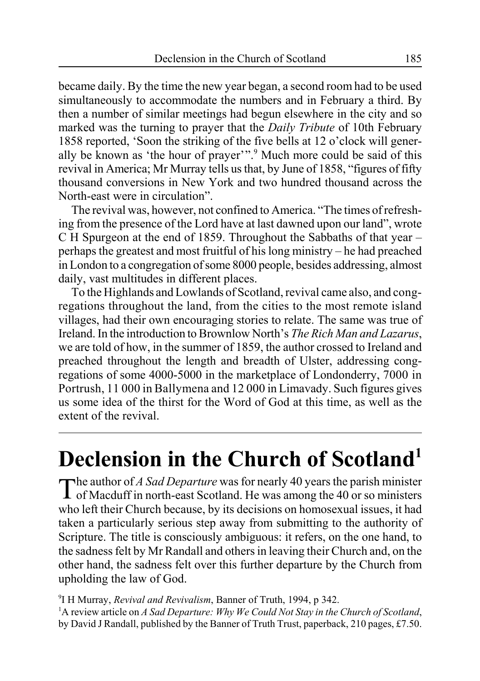became daily. By the time the new year began, a second room had to be used simultaneously to accommodate the numbers and in February a third. By then a number of similar meetings had begun elsewhere in the city and so marked was the turning to prayer that the *Daily Tribute* of 10th February 1858 reported, 'Soon the striking of the five bells at 12 o'clock will generally be known as 'the hour of prayer'".<sup>9</sup> Much more could be said of this revival in America; Mr Murray tells us that, by June of 1858, "figures of fifty thousand conversions in New York and two hundred thousand across the North-east were in circulation".

The revival was, however, not confined to America. "The times of refreshing from the presence of the Lord have at last dawned upon our land", wrote C H Spurgeon at the end of 1859. Throughout the Sabbaths of that year – perhaps the greatest and most fruitful of his long ministry – he had preached in London to a congregation of some 8000 people, besides addressing, almost daily, vast multitudes in different places.

To the Highlands and Lowlands of Scotland, revival came also, and congregations throughout the land, from the cities to the most remote island villages, had their own encouraging stories to relate. The same was true of Ireland. In the introduction to Brownlow North's *The Rich Man and Lazarus*, we are told of how, in the summer of 1859, the author crossed to Ireland and preached throughout the length and breadth of Ulster, addressing congregations of some 4000-5000 in the marketplace of Londonderry, 7000 in Portrush, 11 000 in Ballymena and 12 000 in Limavady. Such figures gives us some idea of the thirst for the Word of God at this time, as well as the extent of the revival.

# **Declension in the Church of Scotland1**

The author of *A Sad Departure* was for nearly 40 years the parish minister of Macduff in north-east Scotland. He was among the 40 or so ministers who left their Church because, by its decisions on homosexual issues, it had taken a particularly serious step away from submitting to the authority of Scripture. The title is consciously ambiguous: it refers, on the one hand, to the sadness felt by Mr Randall and others in leaving their Church and, on the other hand, the sadness felt over this further departure by the Church from upholding the law of God.

9 I H Murray, *Revival and Revivalism*, Banner of Truth, 1994, p 342. <sup>1</sup>A review article on *A Sad Departure: Why We Could Not Stay in the Church of Scotland,* by David J Randall, published by the Banner of Truth Trust, paperback, 210 pages, £7.50.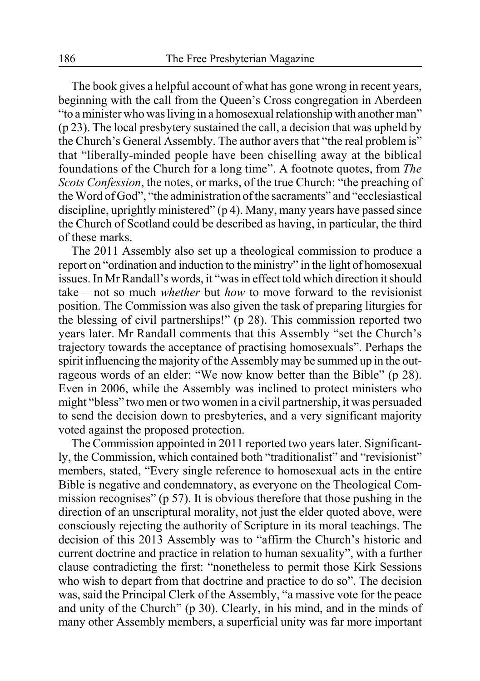The book gives a helpful account of what has gone wrong in recent years, beginning with the call from the Queen's Cross congregation in Aberdeen "to a minister who was living in a homosexual relationship with another man" (p 23). The local presbytery sustained the call, a decision that was upheld by the Church's General Assembly. The author avers that "the real problem is" that "liberally-minded people have been chiselling away at the biblical foundations of the Church for a long time". A footnote quotes, from *The Scots Confession*, the notes, or marks, of the true Church: "the preaching of the Word of God", "the administration of the sacraments" and "ecclesiastical discipline, uprightly ministered" (p 4). Many, many years have passed since the Church of Scotland could be described as having, in particular, the third of these marks.

The 2011 Assembly also set up a theological commission to produce a report on "ordination and induction to the ministry" in the light of homosexual issues. In Mr Randall's words, it "was in effect told which direction it should take – not so much *whether* but *how* to move forward to the revisionist position. The Commission was also given the task of preparing liturgies for the blessing of civil partnerships!" (p 28). This commission reported two years later. Mr Randall comments that this Assembly "set the Church's trajectory towards the acceptance of practising homosexuals". Perhaps the spirit influencing the majority of the Assembly may be summed up in the outrageous words of an elder: "We now know better than the Bible" (p 28). Even in 2006, while the Assembly was inclined to protect ministers who might "bless" two men or two women in a civil partnership, it was persuaded to send the decision down to presbyteries, and a very significant majority voted against the proposed protection.

The Commission appointed in 2011 reported two years later. Significantly, the Commission, which contained both "traditionalist" and "revisionist" members, stated, "Every single reference to homosexual acts in the entire Bible is negative and condemnatory, as everyone on the Theological Commission recognises" (p 57). It is obvious therefore that those pushing in the direction of an unscriptural morality, not just the elder quoted above, were consciously rejecting the authority of Scripture in its moral teachings. The decision of this 2013 Assembly was to "affirm the Church's historic and current doctrine and practice in relation to human sexuality", with a further clause contradicting the first: "nonetheless to permit those Kirk Sessions who wish to depart from that doctrine and practice to do so". The decision was, said the Principal Clerk of the Assembly, "a massive vote for the peace and unity of the Church" (p 30). Clearly, in his mind, and in the minds of many other Assembly members, a superficial unity was far more important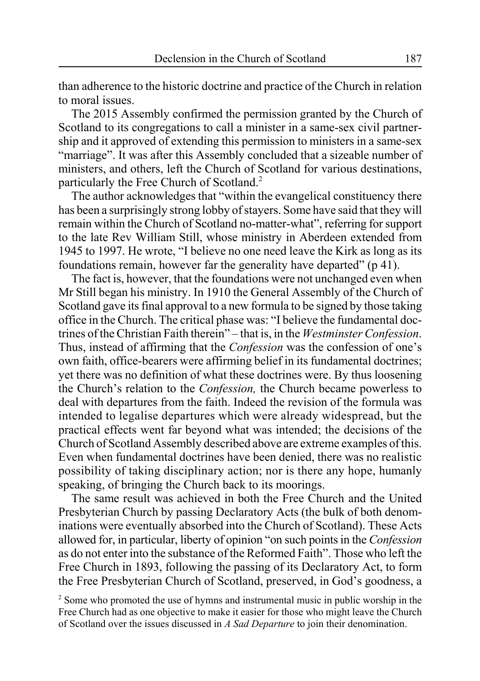than adherence to the historic doctrine and practice of the Church in relation to moral issues.

The 2015 Assembly confirmed the permission granted by the Church of Scotland to its congregations to call a minister in a same-sex civil partnership and it approved of extending this permission to ministers in a same-sex "marriage". It was after this Assembly concluded that a sizeable number of ministers, and others, left the Church of Scotland for various destinations, particularly the Free Church of Scotland.<sup>2</sup>

The author acknowledges that "within the evangelical constituency there has been a surprisingly strong lobby of stayers. Some have said that they will remain within the Church of Scotland no-matter-what", referring for support to the late Rev William Still, whose ministry in Aberdeen extended from 1945 to 1997. He wrote, "I believe no one need leave the Kirk as long as its foundations remain, however far the generality have departed" (p 41).

The fact is, however, that the foundations were not unchanged even when Mr Still began his ministry. In 1910 the General Assembly of the Church of Scotland gave its final approval to a new formula to be signed by those taking office in the Church. The critical phase was: "I believe the fundamental doctrines of the Christian Faith therein" – that is, in the *Westminster Confession*. Thus, instead of affirming that the *Confession* was the confession of one's own faith, office-bearers were affirming belief in its fundamental doctrines; yet there was no definition of what these doctrines were. By thus loosening the Church's relation to the *Confession,* the Church became powerless to deal with departures from the faith. Indeed the revision of the formula was intended to legalise departures which were already widespread, but the practical effects went far beyond what was intended; the decisions of the Church of Scotland Assembly described above are extreme examples of this. Even when fundamental doctrines have been denied, there was no realistic possibility of taking disciplinary action; nor is there any hope, humanly speaking, of bringing the Church back to its moorings.

The same result was achieved in both the Free Church and the United Presbyterian Church by passing Declaratory Acts (the bulk of both denominations were eventually absorbed into the Church of Scotland). These Acts allowed for, in particular, liberty of opinion "on such points in the *Confession* as do not enter into the substance of the Reformed Faith". Those who left the Free Church in 1893, following the passing of its Declaratory Act, to form the Free Presbyterian Church of Scotland, preserved, in God's goodness, a

 $2^{2}$  Some who promoted the use of hymns and instrumental music in public worship in the Free Church had as one objective to make it easier for those who might leave the Church of Scotland over the issues discussed in *A Sad Departure* to join their denomination.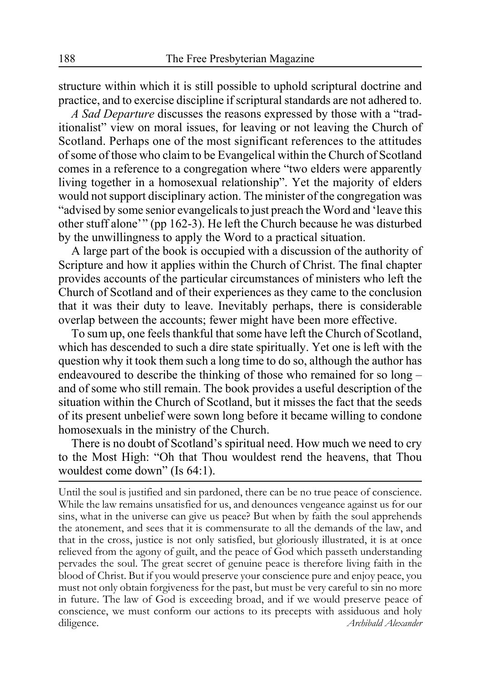structure within which it is still possible to uphold scriptural doctrine and practice, and to exercise discipline if scriptural standards are not adhered to.

*A Sad Departure* discusses the reasons expressed by those with a "traditionalist" view on moral issues, for leaving or not leaving the Church of Scotland. Perhaps one of the most significant references to the attitudes of some of those who claim to be Evangelical within the Church of Scotland comes in a reference to a congregation where "two elders were apparently living together in a homosexual relationship". Yet the majority of elders would not support disciplinary action. The minister of the congregation was "advised by some senior evangelicals to just preach the Word and 'leave this other stuff alone'" (pp 162-3). He left the Church because he was disturbed by the unwillingness to apply the Word to a practical situation.

A large part of the book is occupied with a discussion of the authority of Scripture and how it applies within the Church of Christ. The final chapter provides accounts of the particular circumstances of ministers who left the Church of Scotland and of their experiences as they came to the conclusion that it was their duty to leave. Inevitably perhaps, there is considerable overlap between the accounts; fewer might have been more effective.

To sum up, one feels thankful that some have left the Church of Scotland, which has descended to such a dire state spiritually. Yet one is left with the question why it took them such a long time to do so, although the author has endeavoured to describe the thinking of those who remained for so long – and of some who still remain. The book provides a useful description of the situation within the Church of Scotland, but it misses the fact that the seeds of its present unbelief were sown long before it became willing to condone homosexuals in the ministry of the Church.

There is no doubt of Scotland's spiritual need. How much we need to cry to the Most High: "Oh that Thou wouldest rend the heavens, that Thou wouldest come down" (Is 64:1).

Until the soul is justified and sin pardoned, there can be no true peace of conscience. While the law remains unsatisfied for us, and denounces vengeance against us for our sins, what in the universe can give us peace? But when by faith the soul apprehends the atonement, and sees that it is commensurate to all the demands of the law, and that in the cross, justice is not only satisfied, but gloriously illustrated, it is at once relieved from the agony of guilt, and the peace of God which passeth understanding pervades the soul. The great secret of genuine peace is therefore living faith in the blood of Christ. But if you would preserve your conscience pure and enjoy peace, you must not only obtain forgiveness for the past, but must be very careful to sin no more in future. The law of God is exceeding broad, and if we would preserve peace of conscience, we must conform our actions to its precepts with assiduous and holy diligence. *Archibald Alexander*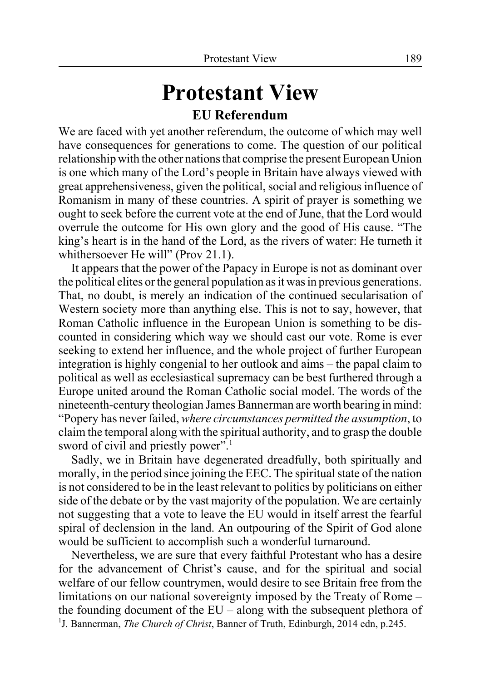# **Protestant View EU Referendum**

We are faced with yet another referendum, the outcome of which may well have consequences for generations to come. The question of our political relationship with the other nations that comprise the present European Union is one which many of the Lord's people in Britain have always viewed with great apprehensiveness, given the political, social and religious influence of Romanism in many of these countries. A spirit of prayer is something we ought to seek before the current vote at the end of June, that the Lord would overrule the outcome for His own glory and the good of His cause. "The king's heart is in the hand of the Lord, as the rivers of water: He turneth it whithersoever He will" (Prov 21.1).

It appears that the power of the Papacy in Europe is not as dominant over the political elites or the general population as it was in previous generations. That, no doubt, is merely an indication of the continued secularisation of Western society more than anything else. This is not to say, however, that Roman Catholic influence in the European Union is something to be discounted in considering which way we should cast our vote. Rome is ever seeking to extend her influence, and the whole project of further European integration is highly congenial to her outlook and aims – the papal claim to political as well as ecclesiastical supremacy can be best furthered through a Europe united around the Roman Catholic social model. The words of the nineteenth-century theologian James Bannerman are worth bearing in mind: "Popery has never failed, *where circumstances permitted the assumption*, to claim the temporal along with the spiritual authority, and to grasp the double sword of civil and priestly power".

Sadly, we in Britain have degenerated dreadfully, both spiritually and morally, in the period since joining the EEC. The spiritual state of the nation is not considered to be in the least relevant to politics by politicians on either side of the debate or by the vast majority of the population. We are certainly not suggesting that a vote to leave the EU would in itself arrest the fearful spiral of declension in the land. An outpouring of the Spirit of God alone would be sufficient to accomplish such a wonderful turnaround.

Nevertheless, we are sure that every faithful Protestant who has a desire for the advancement of Christ's cause, and for the spiritual and social welfare of our fellow countrymen, would desire to see Britain free from the limitations on our national sovereignty imposed by the Treaty of Rome – the founding document of the EU – along with the subsequent plethora of <sup>1</sup>J. Bannerman, *The Church of Christ*, Banner of Truth, Edinburgh, 2014 edn, p.245.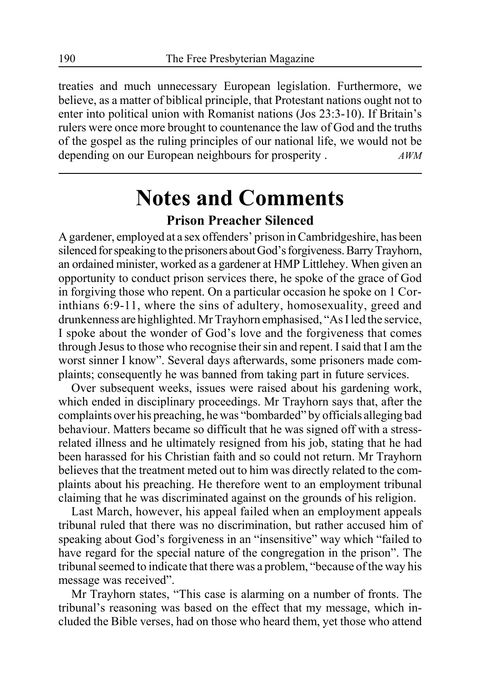treaties and much unnecessary European legislation. Furthermore, we believe, as a matter of biblical principle, that Protestant nations ought not to enter into political union with Romanist nations (Jos 23:3-10). If Britain's rulers were once more brought to countenance the law of God and the truths of the gospel as the ruling principles of our national life, we would not be depending on our European neighbours for prosperity . *AWM*

# **Notes and Comments Prison Preacher Silenced**

A gardener, employed at a sex offenders' prison in Cambridgeshire, has been silenced for speaking to the prisoners about God's forgiveness. Barry Trayhorn, an ordained minister, worked as a gardener at HMP Littlehey. When given an opportunity to conduct prison services there, he spoke of the grace of God in forgiving those who repent. On a particular occasion he spoke on 1 Corinthians 6:9-11, where the sins of adultery, homosexuality, greed and drunkenness are highlighted. Mr Trayhorn emphasised, "As I led the service, I spoke about the wonder of God's love and the forgiveness that comes through Jesus to those who recognise their sin and repent. I said that I am the worst sinner I know". Several days afterwards, some prisoners made complaints; consequently he was banned from taking part in future services.

Over subsequent weeks, issues were raised about his gardening work, which ended in disciplinary proceedings. Mr Trayhorn says that, after the complaints over his preaching, he was "bombarded" by officials alleging bad behaviour. Matters became so difficult that he was signed off with a stressrelated illness and he ultimately resigned from his job, stating that he had been harassed for his Christian faith and so could not return. Mr Trayhorn believes that the treatment meted out to him was directly related to the complaints about his preaching. He therefore went to an employment tribunal claiming that he was discriminated against on the grounds of his religion.

Last March, however, his appeal failed when an employment appeals tribunal ruled that there was no discrimination, but rather accused him of speaking about God's forgiveness in an "insensitive" way which "failed to have regard for the special nature of the congregation in the prison". The tribunal seemed to indicate that there was a problem, "because of the way his message was received".

Mr Trayhorn states, "This case is alarming on a number of fronts. The tribunal's reasoning was based on the effect that my message, which included the Bible verses, had on those who heard them, yet those who attend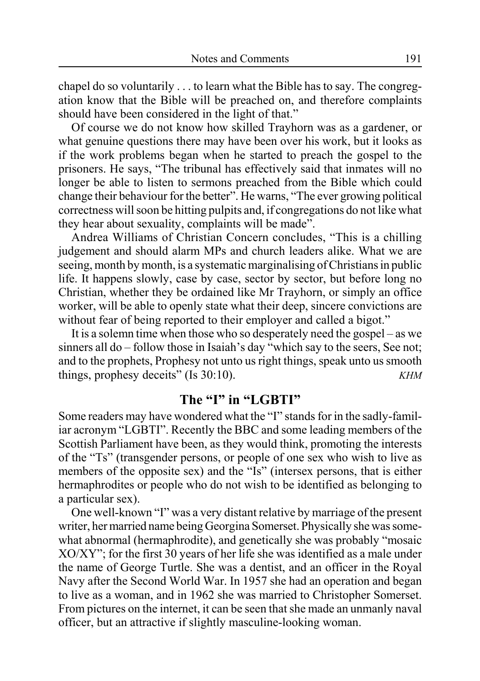chapel do so voluntarily . . . to learn what the Bible has to say. The congregation know that the Bible will be preached on, and therefore complaints should have been considered in the light of that."

Of course we do not know how skilled Trayhorn was as a gardener, or what genuine questions there may have been over his work, but it looks as if the work problems began when he started to preach the gospel to the prisoners. He says, "The tribunal has effectively said that inmates will no longer be able to listen to sermons preached from the Bible which could change their behaviour for the better". He warns, "The ever growing political correctness will soon be hitting pulpits and, if congregations do not like what they hear about sexuality, complaints will be made".

Andrea Williams of Christian Concern concludes, "This is a chilling judgement and should alarm MPs and church leaders alike. What we are seeing, month by month, is a systematic marginalising of Christians in public life. It happens slowly, case by case, sector by sector, but before long no Christian, whether they be ordained like Mr Trayhorn, or simply an office worker, will be able to openly state what their deep, sincere convictions are without fear of being reported to their employer and called a bigot."

It is a solemn time when those who so desperately need the gospel – as we sinners all do – follow those in Isaiah's day "which say to the seers, See not; and to the prophets, Prophesy not unto us right things, speak unto us smooth things, prophesy deceits" (Is 30:10). *KHM*

### **The "I" in "LGBTI"**

Some readers may have wondered what the "I" stands for in the sadly-familiar acronym "LGBTI". Recently the BBC and some leading members of the Scottish Parliament have been, as they would think, promoting the interests of the "Ts" (transgender persons, or people of one sex who wish to live as members of the opposite sex) and the "Is" (intersex persons, that is either hermaphrodites or people who do not wish to be identified as belonging to a particular sex).

One well-known "I" was a very distant relative by marriage of the present writer, her married name being Georgina Somerset. Physically she was somewhat abnormal (hermaphrodite), and genetically she was probably "mosaic XO/XY"; for the first 30 years of her life she was identified as a male under the name of George Turtle. She was a dentist, and an officer in the Royal Navy after the Second World War. In 1957 she had an operation and began to live as a woman, and in 1962 she was married to Christopher Somerset. From pictures on the internet, it can be seen that she made an unmanly naval officer, but an attractive if slightly masculine-looking woman.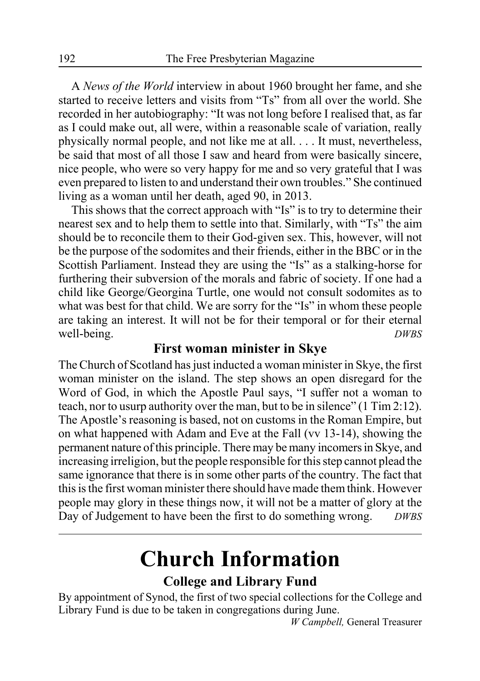A *News of the World* interview in about 1960 brought her fame, and she started to receive letters and visits from "Ts" from all over the world. She recorded in her autobiography: "It was not long before I realised that, as far as I could make out, all were, within a reasonable scale of variation, really physically normal people, and not like me at all. . . . It must, nevertheless, be said that most of all those I saw and heard from were basically sincere, nice people, who were so very happy for me and so very grateful that I was even prepared to listen to and understand their own troubles." She continued living as a woman until her death, aged 90, in 2013.

This shows that the correct approach with "Is" is to try to determine their nearest sex and to help them to settle into that. Similarly, with "Ts" the aim should be to reconcile them to their God-given sex. This, however, will not be the purpose of the sodomites and their friends, either in the BBC or in the Scottish Parliament. Instead they are using the "Is" as a stalking-horse for furthering their subversion of the morals and fabric of society. If one had a child like George/Georgina Turtle, one would not consult sodomites as to what was best for that child. We are sorry for the "Is" in whom these people are taking an interest. It will not be for their temporal or for their eternal well-being. *DWBS* 

### **First woman minister in Skye**

The Church of Scotland has just inducted a woman minister in Skye, the first woman minister on the island. The step shows an open disregard for the Word of God, in which the Apostle Paul says, "I suffer not a woman to teach, nor to usurp authority over the man, but to be in silence" (1 Tim 2:12). The Apostle's reasoning is based, not on customs in the Roman Empire, but on what happened with Adam and Eve at the Fall (vv 13-14), showing the permanent nature of this principle. There may be many incomers in Skye, and increasing irreligion, but the people responsible for this step cannot plead the same ignorance that there is in some other parts of the country. The fact that this is the first woman minister there should have made them think. However people may glory in these things now, it will not be a matter of glory at the Day of Judgement to have been the first to do something wrong. *DWBS*

# **Church Information**

### **College and Library Fund**

By appointment of Synod, the first of two special collections for the College and Library Fund is due to be taken in congregations during June.

*W Campbell,* General Treasurer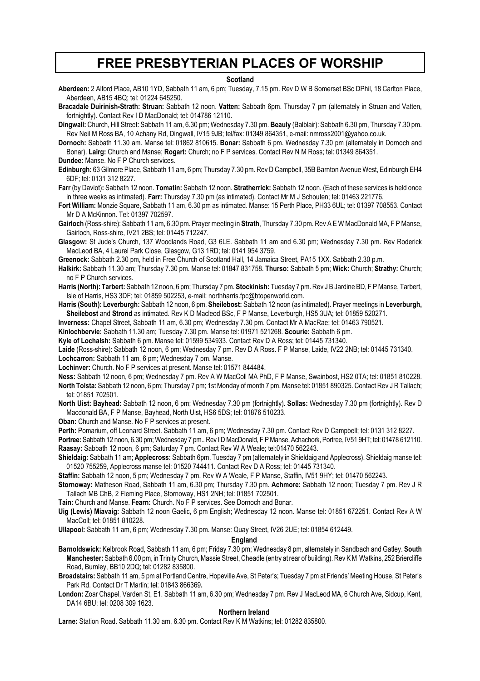### **FREE PRESBYTERIAN PLACES OF WORSHIP**

### **Scotland**

**Aberdeen:** 2 Alford Place, AB10 1YD, Sabbath 11 am, 6 pm; Tuesday, 7.15 pm. Rev D W B Somerset BSc DPhil, 18 Carlton Place, Aberdeen, AB15 4BQ; tel: 01224 645250.

**Bracadale Duirinish-Strath: Struan:** Sabbath 12 noon. **Vatten:** Sabbath 6pm. Thursday 7 pm (alternately in Struan and Vatten, fortnightly). Contact Rev I D MacDonald; tel: 014786 12110.

**Dingwall:** Church, Hill Street: Sabbath 11 am, 6.30 pm; Wednesday 7.30 pm. **Beauly** (Balblair): Sabbath 6.30 pm, Thursday 7.30 pm. Rev Neil M Ross BA, 10 Achany Rd, Dingwall, IV15 9JB; tel/fax: 01349 864351, e-mail: nmross2001@yahoo.co.uk.

**Dornoch:** Sabbath 11.30 am. Manse tel: 01862 810615. **Bonar:** Sabbath 6 pm. Wednesday 7.30 pm (alternately in Dornoch and Bonar). **Lairg:** Church and Manse; **Rogart:** Church; no F P services. Contact Rev N M Ross; tel: 01349 864351.

**Dundee:** Manse. No F P Church services.

**Edinburgh:** 63 Gilmore Place, Sabbath 11 am, 6 pm; Thursday 7.30 pm. Rev D Campbell, 35B Barnton Avenue West, Edinburgh EH4 6DF; tel: 0131 312 8227.

**Farr** (by Daviot)**:** Sabbath 12 noon. **Tomatin:** Sabbath 12 noon. **Stratherrick:** Sabbath 12 noon. (Each of these services is held once in three weeks as intimated). **Farr:** Thursday 7.30 pm (as intimated). Contact Mr M J Schouten; tel: 01463 221776.

**Fort William:** Monzie Square, Sabbath 11 am, 6.30 pm as intimated. Manse: 15 Perth Place, PH33 6UL; tel: 01397 708553. Contact Mr D A McKinnon. Tel: 01397 702597.

**Gairloch** (Ross-shire): Sabbath 11 am, 6.30 pm. Prayer meeting in **Strath**, Thursday 7.30 pm. Rev A E W MacDonald MA, F P Manse, Gairloch, Ross-shire, IV21 2BS; tel: 01445 712247.

**Glasgow:** St Jude's Church, 137 Woodlands Road, G3 6LE. Sabbath 11 am and 6.30 pm; Wednesday 7.30 pm. Rev Roderick MacLeod BA, 4 Laurel Park Close, Glasgow, G13 1RD; tel: 0141 954 3759.

**Greenock:** Sabbath 2.30 pm, held in Free Church of Scotland Hall, 14 Jamaica Street, PA15 1XX. Sabbath 2.30 p.m.

**Halkirk:** Sabbath 11.30 am; Thursday 7.30 pm. Manse tel: 01847 831758. **Thurso:** Sabbath 5 pm; **Wick:** Church; **Strathy:** Church; no F P Church services.

**Harris (North): Tarbert:** Sabbath 12 noon, 6 pm; Thursday 7 pm. **Stockinish:** Tuesday 7 pm. Rev J B Jardine BD, F P Manse, Tarbert, Isle of Harris, HS3 3DF; tel: 01859 502253, e-mail: northharris.fpc@btopenworld.com.

**Harris (South): Leverburgh:** Sabbath 12 noon, 6 pm. **Sheilebost:** Sabbath 12 noon (as intimated). Prayer meetings in **Leverburgh, Sheilebost** and **Strond** as intimated. Rev K D Macleod BSc, F P Manse, Leverburgh, HS5 3UA; tel: 01859 520271.

**Inverness:** Chapel Street, Sabbath 11 am, 6.30 pm; Wednesday 7.30 pm. Contact Mr A MacRae; tel: 01463 790521.

**Kinlochbervie:** Sabbath 11.30 am; Tuesday 7.30 pm. Manse tel: 01971 521268. **Scourie:** Sabbath 6 pm.

**Kyle of Lochalsh:** Sabbath 6 pm. Manse tel: 01599 534933. Contact Rev D A Ross; tel: 01445 731340.

**Laide** (Ross-shire): Sabbath 12 noon, 6 pm; Wednesday 7 pm. Rev D A Ross. F P Manse, Laide, IV22 2NB; tel: 01445 731340. **Lochcarron:** Sabbath 11 am, 6 pm; Wednesday 7 pm. Manse.

**Lochinver:** Church. No F P services at present. Manse tel: 01571 844484.

**Ness:** Sabbath 12 noon, 6 pm; Wednesday 7 pm. Rev A W MacColl MA PhD, F P Manse, Swainbost, HS2 0TA; tel: 01851 810228. **North Tolsta:** Sabbath 12 noon, 6 pm; Thursday 7 pm; 1st Monday of month 7 pm. Manse tel: 01851 890325. Contact Rev J R Tallach; tel: 01851 702501.

**North Uist: Bayhead:** Sabbath 12 noon, 6 pm; Wednesday 7.30 pm (fortnightly). **Sollas:** Wednesday 7.30 pm (fortnightly). Rev D Macdonald BA, F P Manse, Bayhead, North Uist, HS6 5DS; tel: 01876 510233.

**Oban:** Church and Manse. No F P services at present.

**Perth:** Pomarium, off Leonard Street. Sabbath 11 am, 6 pm; Wednesday 7.30 pm. Contact Rev D Campbell; tel: 0131 312 8227.

**Portree:** Sabbath 12 noon, 6.30 pm; Wednesday 7 pm.. Rev I D MacDonald, F P Manse, Achachork, Portree, IV51 9HT; tel: 01478 612110. **Raasay:** Sabbath 12 noon, 6 pm; Saturday 7 pm. Contact Rev W A Weale; tel:01470 562243.

**Shieldaig:** Sabbath 11 am; **Applecross:** Sabbath 6pm. Tuesday 7 pm (alternately in Shieldaig and Applecross). Shieldaig manse tel: 01520 755259, Applecross manse tel: 01520 744411. Contact Rev D A Ross; tel: 01445 731340.

**Staffin:** Sabbath 12 noon, 5 pm; Wednesday 7 pm. Rev W A Weale, F P Manse, Staffin, IV51 9HY; tel: 01470 562243.

**Stornoway:** Matheson Road, Sabbath 11 am, 6.30 pm; Thursday 7.30 pm. **Achmore:** Sabbath 12 noon; Tuesday 7 pm. Rev J R Tallach MB ChB, 2 Fleming Place, Stornoway, HS1 2NH; tel: 01851 702501.

**Tain:** Church and Manse. **Fearn:** Church. No F P services. See Dornoch and Bonar.

**Uig (Lewis) Miavaig:** Sabbath 12 noon Gaelic, 6 pm English; Wednesday 12 noon. Manse tel: 01851 672251. Contact Rev A W MacColl; tel: 01851 810228.

**Ullapool:** Sabbath 11 am, 6 pm; Wednesday 7.30 pm. Manse: Quay Street, IV26 2UE; tel: 01854 612449.

#### **England**

**Barnoldswick:** Kelbrook Road, Sabbath 11 am, 6 pm; Friday 7.30 pm; Wednesday 8 pm, alternately in Sandbach and Gatley. **South Manchester:** Sabbath 6.00 pm, in Trinity Church, Massie Street, Cheadle (entry at rear of building). Rev K M Watkins, 252 Briercliffe Road, Burnley, BB10 2DQ; tel: 01282 835800.

**Broadstairs:** Sabbath 11 am, 5 pm at Portland Centre, Hopeville Ave, St Peter's; Tuesday 7 pm at Friends' Meeting House, St Peter's Park Rd. Contact Dr T Martin; tel: 01843 866369**.**

**London:** Zoar Chapel, Varden St, E1. Sabbath 11 am, 6.30 pm; Wednesday 7 pm. Rev J MacLeod MA, 6 Church Ave, Sidcup, Kent, DA14 6BU; tel: 0208 309 1623.

#### **Northern Ireland**

**Larne:** Station Road. Sabbath 11.30 am, 6.30 pm. Contact Rev K M Watkins; tel: 01282 835800.